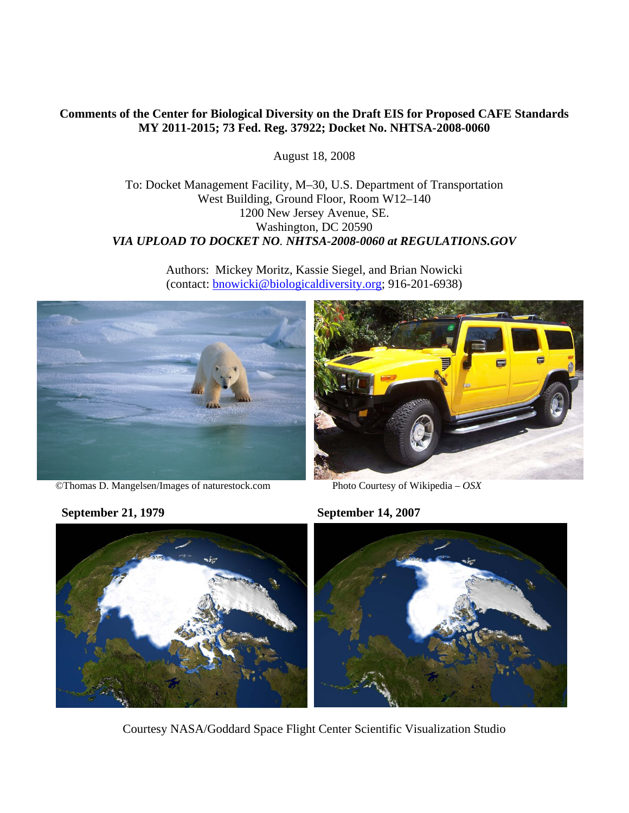## **Comments of the Center for Biological Diversity on the Draft EIS for Proposed CAFE Standards MY 2011-2015; 73 Fed. Reg. 37922; Docket No. NHTSA-2008-0060**

August 18, 2008

To: Docket Management Facility, M–30, U.S. Department of Transportation West Building, Ground Floor, Room W12–140 1200 New Jersey Avenue, SE. Washington, DC 20590 *VIA UPLOAD TO DOCKET NO. NHTSA-2008-0060 at REGULATIONS.GOV* 

> Authors: Mickey Moritz, Kassie Siegel, and Brian Nowicki (contact: bnowicki@biologicaldiversity.org; 916-201-6938)



©Thomas D. Mangelsen/Images of naturestock.com Photo Courtesy of Wikipedia – *OSX*



**September 21, 1979 September 14, 2007** 



Courtesy NASA/Goddard Space Flight Center Scientific Visualization Studio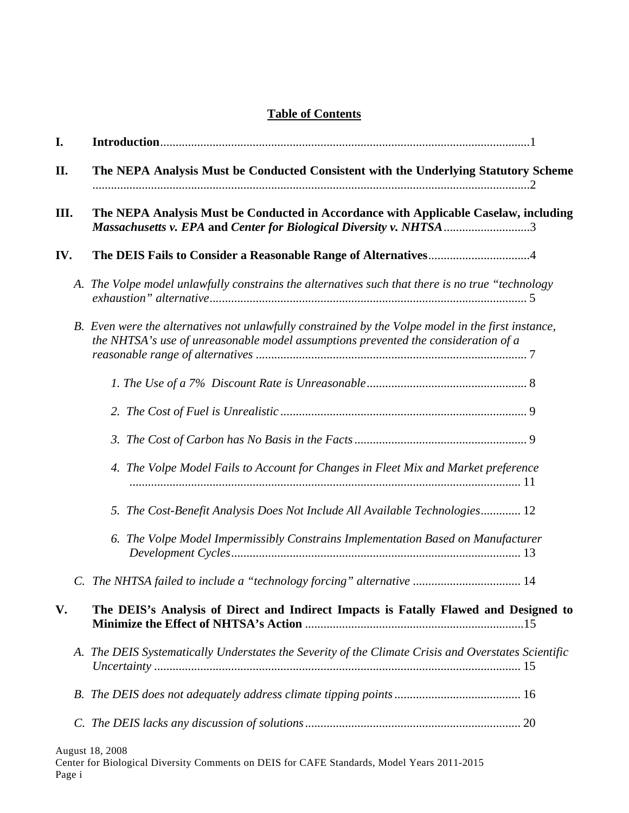# **Table of Contents**

| I.          |  |                                                                                                                                                                                                                                                    |  |  |  |  |  |
|-------------|--|----------------------------------------------------------------------------------------------------------------------------------------------------------------------------------------------------------------------------------------------------|--|--|--|--|--|
| II.<br>III. |  | The NEPA Analysis Must be Conducted Consistent with the Underlying Statutory Scheme<br>The NEPA Analysis Must be Conducted in Accordance with Applicable Caselaw, including<br>Massachusetts v. EPA and Center for Biological Diversity v. NHTSA 3 |  |  |  |  |  |
|             |  |                                                                                                                                                                                                                                                    |  |  |  |  |  |
|             |  | A. The Volpe model unlawfully constrains the alternatives such that there is no true "technology                                                                                                                                                   |  |  |  |  |  |
|             |  | B. Even were the alternatives not unlawfully constrained by the Volpe model in the first instance,<br>the NHTSA's use of unreasonable model assumptions prevented the consideration of a                                                           |  |  |  |  |  |
|             |  |                                                                                                                                                                                                                                                    |  |  |  |  |  |
|             |  |                                                                                                                                                                                                                                                    |  |  |  |  |  |
|             |  |                                                                                                                                                                                                                                                    |  |  |  |  |  |
|             |  | 4. The Volpe Model Fails to Account for Changes in Fleet Mix and Market preference                                                                                                                                                                 |  |  |  |  |  |
|             |  | 5. The Cost-Benefit Analysis Does Not Include All Available Technologies 12                                                                                                                                                                        |  |  |  |  |  |
|             |  | 6. The Volpe Model Impermissibly Constrains Implementation Based on Manufacturer                                                                                                                                                                   |  |  |  |  |  |
|             |  |                                                                                                                                                                                                                                                    |  |  |  |  |  |
| V.          |  | The DEIS's Analysis of Direct and Indirect Impacts is Fatally Flawed and Designed to                                                                                                                                                               |  |  |  |  |  |
|             |  | A. The DEIS Systematically Understates the Severity of the Climate Crisis and Overstates Scientific                                                                                                                                                |  |  |  |  |  |
|             |  |                                                                                                                                                                                                                                                    |  |  |  |  |  |
|             |  |                                                                                                                                                                                                                                                    |  |  |  |  |  |
|             |  | August 18, 2008                                                                                                                                                                                                                                    |  |  |  |  |  |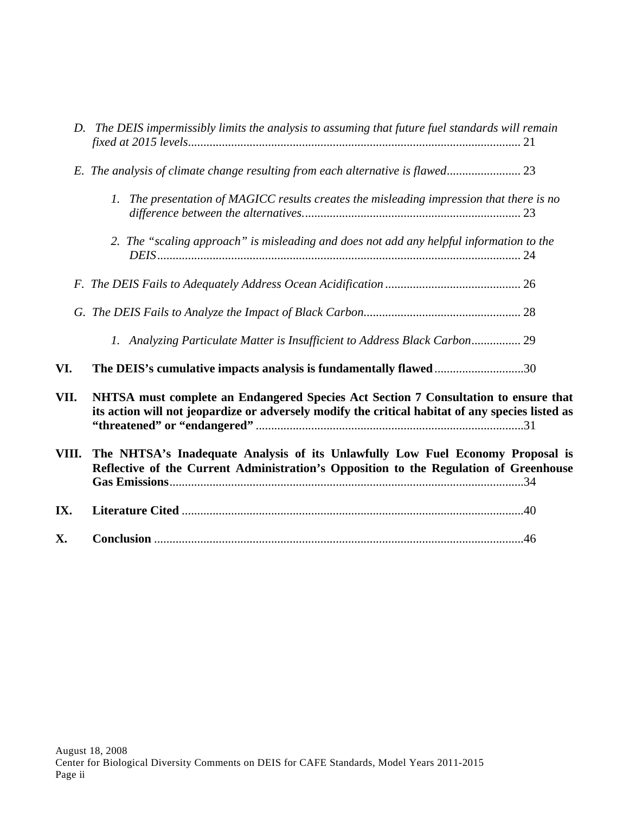| VI.   | 1. Analyzing Particulate Matter is Insufficient to Address Black Carbon 29<br>The DEIS's cumulative impacts analysis is fundamentally flawed30                                          |  |  |  |  |  |
|-------|-----------------------------------------------------------------------------------------------------------------------------------------------------------------------------------------|--|--|--|--|--|
| VII.  | NHTSA must complete an Endangered Species Act Section 7 Consultation to ensure that<br>its action will not jeopardize or adversely modify the critical habitat of any species listed as |  |  |  |  |  |
| VIII. | The NHTSA's Inadequate Analysis of its Unlawfully Low Fuel Economy Proposal is<br>Reflective of the Current Administration's Opposition to the Regulation of Greenhouse                 |  |  |  |  |  |
| IX.   |                                                                                                                                                                                         |  |  |  |  |  |
|       |                                                                                                                                                                                         |  |  |  |  |  |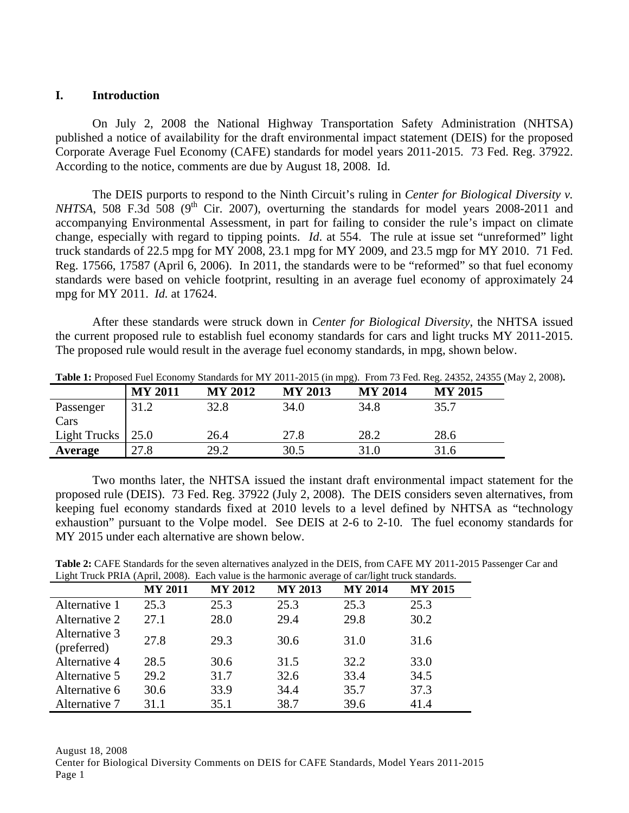#### **I. Introduction**

On July 2, 2008 the National Highway Transportation Safety Administration (NHTSA) published a notice of availability for the draft environmental impact statement (DEIS) for the proposed Corporate Average Fuel Economy (CAFE) standards for model years 2011-2015. 73 Fed. Reg. 37922. According to the notice, comments are due by August 18, 2008. Id.

 The DEIS purports to respond to the Ninth Circuit's ruling in *Center for Biological Diversity v. NHTSA*, 508 F.3d 508 ( $9<sup>th</sup>$  Cir. 2007), overturning the standards for model years 2008-2011 and accompanying Environmental Assessment, in part for failing to consider the rule's impact on climate change, especially with regard to tipping points. *Id*. at 554. The rule at issue set "unreformed" light truck standards of 22.5 mpg for MY 2008, 23.1 mpg for MY 2009, and 23.5 mgp for MY 2010. 71 Fed. Reg. 17566, 17587 (April 6, 2006). In 2011, the standards were to be "reformed" so that fuel economy standards were based on vehicle footprint, resulting in an average fuel economy of approximately 24 mpg for MY 2011. *Id.* at 17624.

 After these standards were struck down in *Center for Biological Diversity*, the NHTSA issued the current proposed rule to establish fuel economy standards for cars and light trucks MY 2011-2015. The proposed rule would result in the average fuel economy standards, in mpg, shown below.

|              | <b>MY 2011</b> | <b>MY 2012</b> | <b>MY 2013</b> | <b>MY 2014</b> | <b>MY 2015</b> |
|--------------|----------------|----------------|----------------|----------------|----------------|
| Passenger    | 31.2           | 32.8           | 34.0           | 34.8           | 35.7           |
| Cars         |                |                |                |                |                |
| Light Trucks | 25.0           | 26.4           | 27.8           | 28.2           | 28.6           |
| Average      | 27.8           | 29.2           | 30.5           | 31.0           | 31.6           |

**Table 1:** Proposed Fuel Economy Standards for MY 2011-2015 (in mpg). From 73 Fed. Reg. 24352, 24355 (May 2, 2008)**.** 

 Two months later, the NHTSA issued the instant draft environmental impact statement for the proposed rule (DEIS). 73 Fed. Reg. 37922 (July 2, 2008). The DEIS considers seven alternatives, from keeping fuel economy standards fixed at 2010 levels to a level defined by NHTSA as "technology exhaustion" pursuant to the Volpe model. See DEIS at 2-6 to 2-10. The fuel economy standards for MY 2015 under each alternative are shown below.

**Table 2:** CAFE Standards for the seven alternatives analyzed in the DEIS, from CAFE MY 2011-2015 Passenger Car and Light Truck PRIA (April, 2008). Each value is the harmonic average of car/light truck standards.

| $\tilde{}$                   |                |                |                |                |                |
|------------------------------|----------------|----------------|----------------|----------------|----------------|
|                              | <b>MY 2011</b> | <b>MY 2012</b> | <b>MY 2013</b> | <b>MY 2014</b> | <b>MY 2015</b> |
| Alternative 1                | 25.3           | 25.3           | 25.3           | 25.3           | 25.3           |
| Alternative 2                | 27.1           | 28.0           | 29.4           | 29.8           | 30.2           |
| Alternative 3<br>(preferred) | 27.8           | 29.3           | 30.6           | 31.0           | 31.6           |
| Alternative 4                | 28.5           | 30.6           | 31.5           | 32.2           | 33.0           |
| Alternative 5                | 29.2           | 31.7           | 32.6           | 33.4           | 34.5           |
| Alternative 6                | 30.6           | 33.9           | 34.4           | 35.7           | 37.3           |
| Alternative 7                | 31.1           | 35.1           | 38.7           | 39.6           | 41.4           |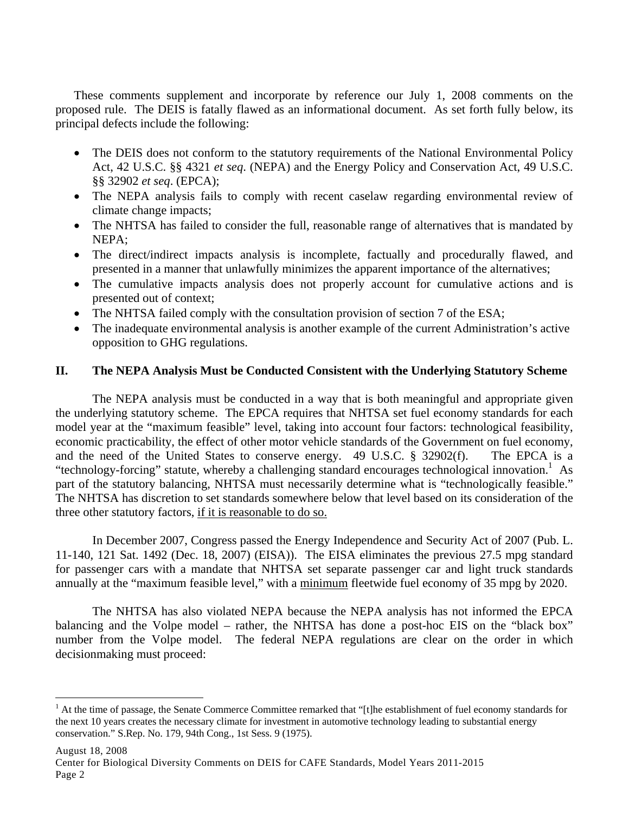These comments supplement and incorporate by reference our July 1, 2008 comments on the proposed rule. The DEIS is fatally flawed as an informational document. As set forth fully below, its principal defects include the following:

- The DEIS does not conform to the statutory requirements of the National Environmental Policy Act, 42 U.S.C. §§ 4321 *et seq*. (NEPA) and the Energy Policy and Conservation Act, 49 U.S.C. §§ 32902 *et seq*. (EPCA);
- The NEPA analysis fails to comply with recent caselaw regarding environmental review of climate change impacts;
- The NHTSA has failed to consider the full, reasonable range of alternatives that is mandated by NEPA;
- The direct/indirect impacts analysis is incomplete, factually and procedurally flawed, and presented in a manner that unlawfully minimizes the apparent importance of the alternatives;
- The cumulative impacts analysis does not properly account for cumulative actions and is presented out of context;
- The NHTSA failed comply with the consultation provision of section 7 of the ESA;
- The inadequate environmental analysis is another example of the current Administration's active opposition to GHG regulations.

## **II. The NEPA Analysis Must be Conducted Consistent with the Underlying Statutory Scheme**

The NEPA analysis must be conducted in a way that is both meaningful and appropriate given the underlying statutory scheme. The EPCA requires that NHTSA set fuel economy standards for each model year at the "maximum feasible" level, taking into account four factors: technological feasibility, economic practicability, the effect of other motor vehicle standards of the Government on fuel economy, and the need of the United States to conserve energy. 49 U.S.C. § 32902(f). The EPCA is a "technology-forcing" statute, whereby a challenging standard encourages technological innovation.<sup>1</sup> As part of the statutory balancing, NHTSA must necessarily determine what is "technologically feasible." The NHTSA has discretion to set standards somewhere below that level based on its consideration of the three other statutory factors, if it is reasonable to do so.

In December 2007, Congress passed the Energy Independence and Security Act of 2007 (Pub. L. 11-140, 121 Sat. 1492 (Dec. 18, 2007) (EISA)). The EISA eliminates the previous 27.5 mpg standard for passenger cars with a mandate that NHTSA set separate passenger car and light truck standards annually at the "maximum feasible level," with a minimum fleetwide fuel economy of 35 mpg by 2020.

The NHTSA has also violated NEPA because the NEPA analysis has not informed the EPCA balancing and the Volpe model – rather, the NHTSA has done a post-hoc EIS on the "black box" number from the Volpe model. The federal NEPA regulations are clear on the order in which decisionmaking must proceed:

1

<sup>&</sup>lt;sup>1</sup> At the time of passage, the Senate Commerce Committee remarked that "[t]he establishment of fuel economy standards for the next 10 years creates the necessary climate for investment in automotive technology leading to substantial energy conservation." S.Rep. No. 179, 94th Cong., 1st Sess. 9 (1975).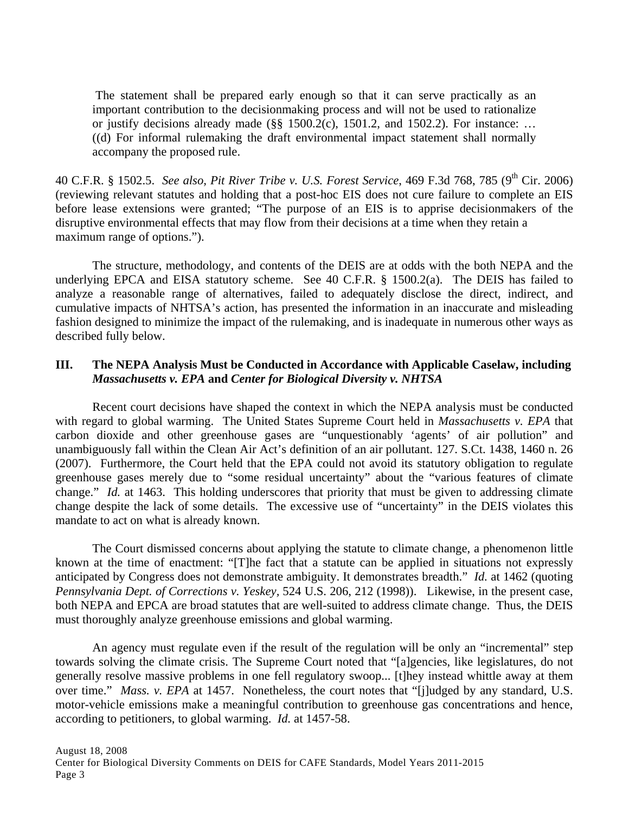The statement shall be prepared early enough so that it can serve practically as an important contribution to the decisionmaking process and will not be used to rationalize or justify decisions already made ( $\S$ § 1500.2(c), 1501.2, and 1502.2). For instance: ... ((d) For informal rulemaking the draft environmental impact statement shall normally accompany the proposed rule.

40 C.F.R. § 1502.5. *See also, Pit River Tribe v. U.S. Forest Service*, 469 F.3d 768, 785 (9<sup>th</sup> Cir. 2006) (reviewing relevant statutes and holding that a post-hoc EIS does not cure failure to complete an EIS before lease extensions were granted; "The purpose of an EIS is to apprise decisionmakers of the disruptive environmental effects that may flow from their decisions at a time when they retain a maximum range of options.").

The structure, methodology, and contents of the DEIS are at odds with the both NEPA and the underlying EPCA and EISA statutory scheme. See 40 C.F.R. § 1500.2(a). The DEIS has failed to analyze a reasonable range of alternatives, failed to adequately disclose the direct, indirect, and cumulative impacts of NHTSA's action, has presented the information in an inaccurate and misleading fashion designed to minimize the impact of the rulemaking, and is inadequate in numerous other ways as described fully below.

## **III. The NEPA Analysis Must be Conducted in Accordance with Applicable Caselaw, including**  *Massachusetts v. EPA* **and** *Center for Biological Diversity v. NHTSA*

Recent court decisions have shaped the context in which the NEPA analysis must be conducted with regard to global warming. The United States Supreme Court held in *Massachusetts v. EPA* that carbon dioxide and other greenhouse gases are "unquestionably 'agents' of air pollution" and unambiguously fall within the Clean Air Act's definition of an air pollutant. 127. S.Ct. 1438, 1460 n. 26 (2007). Furthermore, the Court held that the EPA could not avoid its statutory obligation to regulate greenhouse gases merely due to "some residual uncertainty" about the "various features of climate change." *Id.* at 1463. This holding underscores that priority that must be given to addressing climate change despite the lack of some details. The excessive use of "uncertainty" in the DEIS violates this mandate to act on what is already known.

 The Court dismissed concerns about applying the statute to climate change, a phenomenon little known at the time of enactment: "[T]he fact that a statute can be applied in situations not expressly anticipated by Congress does not demonstrate ambiguity. It demonstrates breadth." *Id.* at 1462 (quoting *Pennsylvania Dept. of Corrections v. Yeskey,* 524 U.S. 206, 212 (1998)). Likewise, in the present case, both NEPA and EPCA are broad statutes that are well-suited to address climate change. Thus, the DEIS must thoroughly analyze greenhouse emissions and global warming.

An agency must regulate even if the result of the regulation will be only an "incremental" step towards solving the climate crisis. The Supreme Court noted that "[a]gencies, like legislatures, do not generally resolve massive problems in one fell regulatory swoop... [t]hey instead whittle away at them over time." *Mass. v. EPA* at 1457. Nonetheless, the court notes that "[j]udged by any standard, U.S. motor-vehicle emissions make a meaningful contribution to greenhouse gas concentrations and hence, according to petitioners, to global warming. *Id.* at 1457-58.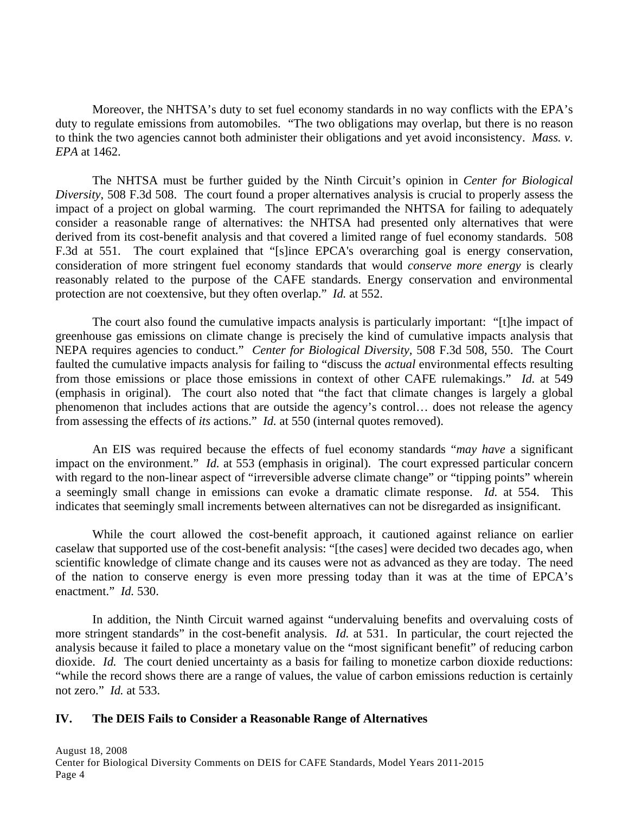Moreover, the NHTSA's duty to set fuel economy standards in no way conflicts with the EPA's duty to regulate emissions from automobiles. "The two obligations may overlap, but there is no reason to think the two agencies cannot both administer their obligations and yet avoid inconsistency. *Mass. v. EPA* at 1462.

 The NHTSA must be further guided by the Ninth Circuit's opinion in *Center for Biological Diversity*, 508 F.3d 508. The court found a proper alternatives analysis is crucial to properly assess the impact of a project on global warming. The court reprimanded the NHTSA for failing to adequately consider a reasonable range of alternatives: the NHTSA had presented only alternatives that were derived from its cost-benefit analysis and that covered a limited range of fuel economy standards. 508 F.3d at 551. The court explained that "[s]ince EPCA's overarching goal is energy conservation, consideration of more stringent fuel economy standards that would *conserve more energy* is clearly reasonably related to the purpose of the CAFE standards. Energy conservation and environmental protection are not coextensive, but they often overlap." *Id.* at 552.

The court also found the cumulative impacts analysis is particularly important: "[t]he impact of greenhouse gas emissions on climate change is precisely the kind of cumulative impacts analysis that NEPA requires agencies to conduct." *Center for Biological Diversity,* 508 F.3d 508, 550. The Court faulted the cumulative impacts analysis for failing to "discuss the *actual* environmental effects resulting from those emissions or place those emissions in context of other CAFE rulemakings." *Id.* at 549 (emphasis in original). The court also noted that "the fact that climate changes is largely a global phenomenon that includes actions that are outside the agency's control… does not release the agency from assessing the effects of *its* actions." *Id.* at 550 (internal quotes removed).

 An EIS was required because the effects of fuel economy standards "*may have* a significant impact on the environment." *Id.* at 553 (emphasis in original). The court expressed particular concern with regard to the non-linear aspect of "irreversible adverse climate change" or "tipping points" wherein a seemingly small change in emissions can evoke a dramatic climate response. *Id.* at 554. This indicates that seemingly small increments between alternatives can not be disregarded as insignificant.

While the court allowed the cost-benefit approach, it cautioned against reliance on earlier caselaw that supported use of the cost-benefit analysis: "[the cases] were decided two decades ago, when scientific knowledge of climate change and its causes were not as advanced as they are today. The need of the nation to conserve energy is even more pressing today than it was at the time of EPCA's enactment." *Id.* 530.

 In addition, the Ninth Circuit warned against "undervaluing benefits and overvaluing costs of more stringent standards" in the cost-benefit analysis. *Id.* at 531. In particular, the court rejected the analysis because it failed to place a monetary value on the "most significant benefit" of reducing carbon dioxide. *Id.* The court denied uncertainty as a basis for failing to monetize carbon dioxide reductions: "while the record shows there are a range of values, the value of carbon emissions reduction is certainly not zero." *Id.* at 533.

#### **IV. The DEIS Fails to Consider a Reasonable Range of Alternatives**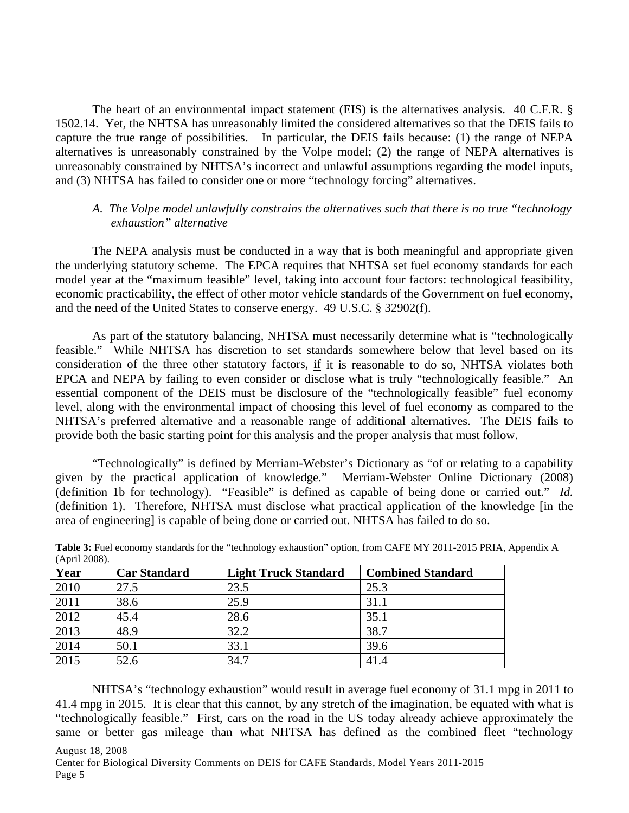The heart of an environmental impact statement (EIS) is the alternatives analysis. 40 C.F.R. § 1502.14. Yet, the NHTSA has unreasonably limited the considered alternatives so that the DEIS fails to capture the true range of possibilities. In particular, the DEIS fails because: (1) the range of NEPA alternatives is unreasonably constrained by the Volpe model; (2) the range of NEPA alternatives is unreasonably constrained by NHTSA's incorrect and unlawful assumptions regarding the model inputs, and (3) NHTSA has failed to consider one or more "technology forcing" alternatives.

### *A. The Volpe model unlawfully constrains the alternatives such that there is no true "technology exhaustion" alternative*

The NEPA analysis must be conducted in a way that is both meaningful and appropriate given the underlying statutory scheme. The EPCA requires that NHTSA set fuel economy standards for each model year at the "maximum feasible" level, taking into account four factors: technological feasibility, economic practicability, the effect of other motor vehicle standards of the Government on fuel economy, and the need of the United States to conserve energy. 49 U.S.C. § 32902(f).

As part of the statutory balancing, NHTSA must necessarily determine what is "technologically feasible." While NHTSA has discretion to set standards somewhere below that level based on its consideration of the three other statutory factors, if it is reasonable to do so, NHTSA violates both EPCA and NEPA by failing to even consider or disclose what is truly "technologically feasible." An essential component of the DEIS must be disclosure of the "technologically feasible" fuel economy level, along with the environmental impact of choosing this level of fuel economy as compared to the NHTSA's preferred alternative and a reasonable range of additional alternatives. The DEIS fails to provide both the basic starting point for this analysis and the proper analysis that must follow.

"Technologically" is defined by Merriam-Webster's Dictionary as "of or relating to a capability given by the practical application of knowledge." Merriam-Webster Online Dictionary (2008) (definition 1b for technology). "Feasible" is defined as capable of being done or carried out." *Id.* (definition 1). Therefore, NHTSA must disclose what practical application of the knowledge [in the area of engineering] is capable of being done or carried out. NHTSA has failed to do so.

| Year | <b>Car Standard</b> | <b>Light Truck Standard</b> | <b>Combined Standard</b> |  |  |
|------|---------------------|-----------------------------|--------------------------|--|--|
| 2010 | 27.5                | 23.5                        | 25.3                     |  |  |
| 2011 | 38.6                | 25.9                        | 31.1                     |  |  |
| 2012 | 45.4                | 28.6                        | 35.1                     |  |  |
| 2013 | 48.9                | 32.2                        | 38.7                     |  |  |
| 2014 | 50.1                | 33.1                        | 39.6                     |  |  |
| 2015 | 52.6                | 34.7                        | 41.4                     |  |  |

**Table 3:** Fuel economy standards for the "technology exhaustion" option, from CAFE MY 2011-2015 PRIA, Appendix A (April 2008).

NHTSA's "technology exhaustion" would result in average fuel economy of 31.1 mpg in 2011 to 41.4 mpg in 2015. It is clear that this cannot, by any stretch of the imagination, be equated with what is "technologically feasible." First, cars on the road in the US today already achieve approximately the same or better gas mileage than what NHTSA has defined as the combined fleet "technology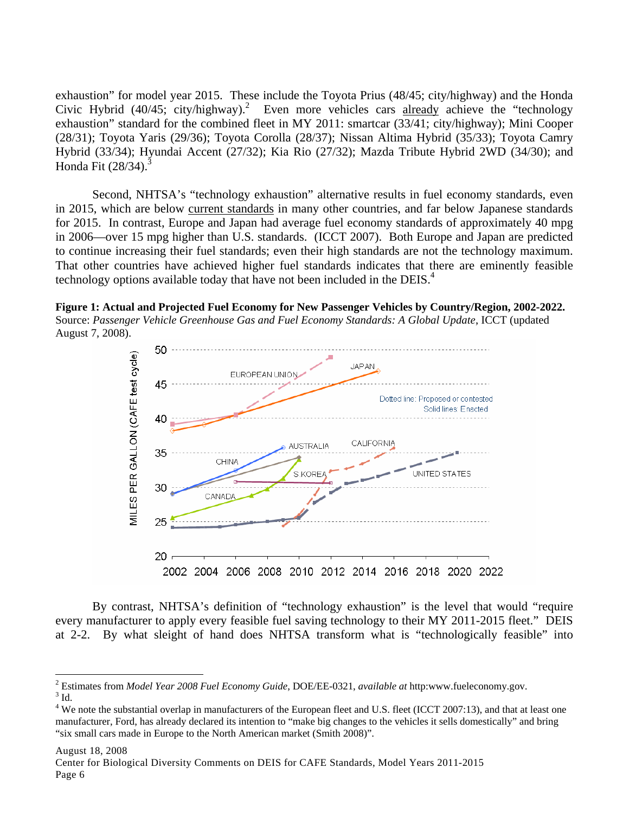exhaustion" for model year 2015. These include the Toyota Prius (48/45; city/highway) and the Honda Civic Hybrid (40/45; city/highway).<sup>2</sup> Even more vehicles cars already achieve the "technology" exhaustion" standard for the combined fleet in MY 2011: smartcar (33/41; city/highway); Mini Cooper (28/31); Toyota Yaris (29/36); Toyota Corolla (28/37); Nissan Altima Hybrid (35/33); Toyota Camry Hybrid (33/34); Hyundai Accent (27/32); Kia Rio (27/32); Mazda Tribute Hybrid 2WD (34/30); and Honda Fit  $(28/34).$ <sup>3</sup>

Second, NHTSA's "technology exhaustion" alternative results in fuel economy standards, even in 2015, which are below current standards in many other countries, and far below Japanese standards for 2015. In contrast, Europe and Japan had average fuel economy standards of approximately 40 mpg in 2006—over 15 mpg higher than U.S. standards. (ICCT 2007). Both Europe and Japan are predicted to continue increasing their fuel standards; even their high standards are not the technology maximum. That other countries have achieved higher fuel standards indicates that there are eminently feasible technology options available today that have not been included in the DEIS. $4$ 

**Figure 1: Actual and Projected Fuel Economy for New Passenger Vehicles by Country/Region, 2002-2022.**  Source: *Passenger Vehicle Greenhouse Gas and Fuel Economy Standards: A Global Update*, ICCT (updated August 7, 2008).



By contrast, NHTSA's definition of "technology exhaustion" is the level that would "require every manufacturer to apply every feasible fuel saving technology to their MY 2011-2015 fleet." DEIS at 2-2. By what sleight of hand does NHTSA transform what is "technologically feasible" into

#### August 18, 2008

1

<sup>&</sup>lt;sup>2</sup> Estimates from *Model Year 2008 Fuel Economy Guide*, DOE/EE-0321, *available at* http:www.fueleconomy.gov.<br><sup>3</sup> Id  $^3$  Id.  $\,$ 

 $4$  We note the substantial overlap in manufacturers of the European fleet and U.S. fleet (ICCT 2007:13), and that at least one manufacturer, Ford, has already declared its intention to "make big changes to the vehicles it sells domestically" and bring "six small cars made in Europe to the North American market (Smith 2008)".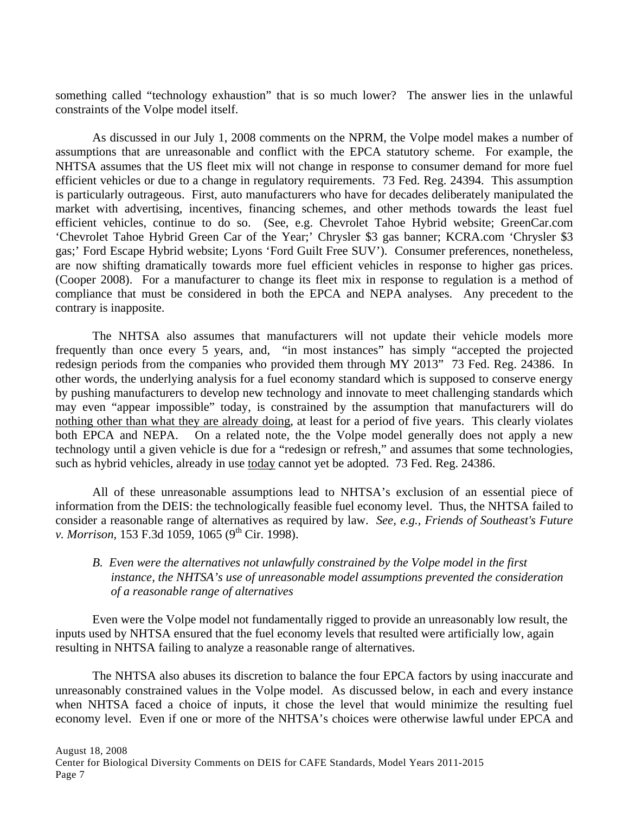something called "technology exhaustion" that is so much lower? The answer lies in the unlawful constraints of the Volpe model itself.

As discussed in our July 1, 2008 comments on the NPRM, the Volpe model makes a number of assumptions that are unreasonable and conflict with the EPCA statutory scheme. For example, the NHTSA assumes that the US fleet mix will not change in response to consumer demand for more fuel efficient vehicles or due to a change in regulatory requirements. 73 Fed. Reg. 24394. This assumption is particularly outrageous. First, auto manufacturers who have for decades deliberately manipulated the market with advertising, incentives, financing schemes, and other methods towards the least fuel efficient vehicles, continue to do so. (See, e.g. Chevrolet Tahoe Hybrid website; GreenCar.com 'Chevrolet Tahoe Hybrid Green Car of the Year;' Chrysler \$3 gas banner; KCRA.com 'Chrysler \$3 gas;' Ford Escape Hybrid website; Lyons 'Ford Guilt Free SUV'). Consumer preferences, nonetheless, are now shifting dramatically towards more fuel efficient vehicles in response to higher gas prices. (Cooper 2008). For a manufacturer to change its fleet mix in response to regulation is a method of compliance that must be considered in both the EPCA and NEPA analyses. Any precedent to the contrary is inapposite.

The NHTSA also assumes that manufacturers will not update their vehicle models more frequently than once every 5 years, and, "in most instances" has simply "accepted the projected redesign periods from the companies who provided them through MY 2013" 73 Fed. Reg. 24386. In other words, the underlying analysis for a fuel economy standard which is supposed to conserve energy by pushing manufacturers to develop new technology and innovate to meet challenging standards which may even "appear impossible" today, is constrained by the assumption that manufacturers will do nothing other than what they are already doing, at least for a period of five years. This clearly violates both EPCA and NEPA. On a related note, the the Volpe model generally does not apply a new technology until a given vehicle is due for a "redesign or refresh," and assumes that some technologies, such as hybrid vehicles, already in use today cannot yet be adopted. 73 Fed. Reg. 24386.

All of these unreasonable assumptions lead to NHTSA's exclusion of an essential piece of information from the DEIS: the technologically feasible fuel economy level. Thus, the NHTSA failed to consider a reasonable range of alternatives as required by law. *See, e.g., Friends of Southeast's Future v. Morrison*, 153 F.3d 1059, 1065 (9<sup>th</sup> Cir. 1998).

## *B. Even were the alternatives not unlawfully constrained by the Volpe model in the first instance, the NHTSA's use of unreasonable model assumptions prevented the consideration of a reasonable range of alternatives*

Even were the Volpe model not fundamentally rigged to provide an unreasonably low result, the inputs used by NHTSA ensured that the fuel economy levels that resulted were artificially low, again resulting in NHTSA failing to analyze a reasonable range of alternatives.

The NHTSA also abuses its discretion to balance the four EPCA factors by using inaccurate and unreasonably constrained values in the Volpe model. As discussed below, in each and every instance when NHTSA faced a choice of inputs, it chose the level that would minimize the resulting fuel economy level. Even if one or more of the NHTSA's choices were otherwise lawful under EPCA and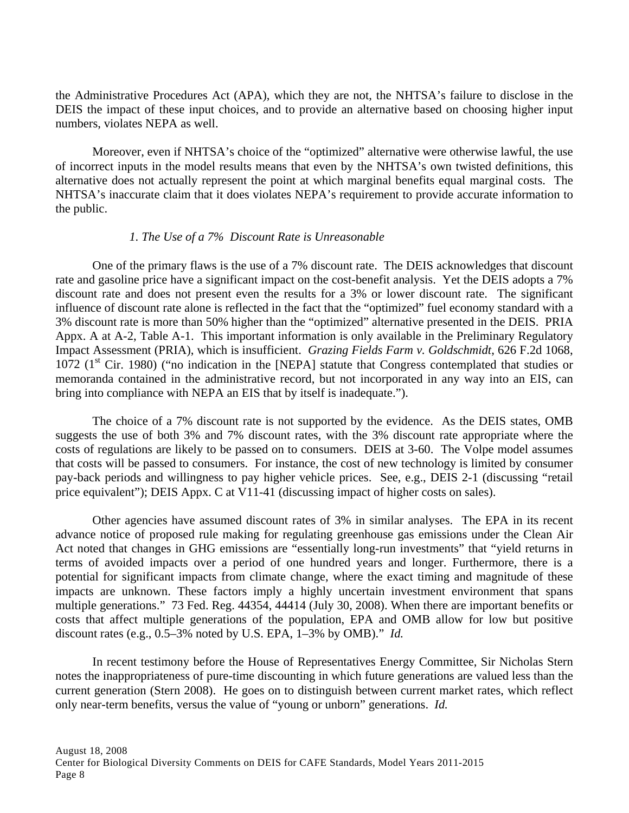the Administrative Procedures Act (APA), which they are not, the NHTSA's failure to disclose in the DEIS the impact of these input choices, and to provide an alternative based on choosing higher input numbers, violates NEPA as well.

Moreover, even if NHTSA's choice of the "optimized" alternative were otherwise lawful, the use of incorrect inputs in the model results means that even by the NHTSA's own twisted definitions, this alternative does not actually represent the point at which marginal benefits equal marginal costs. The NHTSA's inaccurate claim that it does violates NEPA's requirement to provide accurate information to the public.

#### *1. The Use of a 7% Discount Rate is Unreasonable*

 One of the primary flaws is the use of a 7% discount rate. The DEIS acknowledges that discount rate and gasoline price have a significant impact on the cost-benefit analysis. Yet the DEIS adopts a 7% discount rate and does not present even the results for a 3% or lower discount rate. The significant influence of discount rate alone is reflected in the fact that the "optimized" fuel economy standard with a 3% discount rate is more than 50% higher than the "optimized" alternative presented in the DEIS. PRIA Appx. A at A-2, Table A-1. This important information is only available in the Preliminary Regulatory Impact Assessment (PRIA), which is insufficient. *Grazing Fields Farm v. Goldschmidt*, 626 F.2d 1068, 1072 ( $1<sup>st</sup>$  Cir. 1980) ("no indication in the [NEPA] statute that Congress contemplated that studies or memoranda contained in the administrative record, but not incorporated in any way into an EIS, can bring into compliance with NEPA an EIS that by itself is inadequate.").

 The choice of a 7% discount rate is not supported by the evidence. As the DEIS states, OMB suggests the use of both 3% and 7% discount rates, with the 3% discount rate appropriate where the costs of regulations are likely to be passed on to consumers. DEIS at 3-60. The Volpe model assumes that costs will be passed to consumers. For instance, the cost of new technology is limited by consumer pay-back periods and willingness to pay higher vehicle prices. See, e.g., DEIS 2-1 (discussing "retail price equivalent"); DEIS Appx. C at V11-41 (discussing impact of higher costs on sales).

 Other agencies have assumed discount rates of 3% in similar analyses. The EPA in its recent advance notice of proposed rule making for regulating greenhouse gas emissions under the Clean Air Act noted that changes in GHG emissions are "essentially long-run investments" that "yield returns in terms of avoided impacts over a period of one hundred years and longer. Furthermore, there is a potential for significant impacts from climate change, where the exact timing and magnitude of these impacts are unknown. These factors imply a highly uncertain investment environment that spans multiple generations." 73 Fed. Reg. 44354, 44414 (July 30, 2008). When there are important benefits or costs that affect multiple generations of the population, EPA and OMB allow for low but positive discount rates (e.g., 0.5–3% noted by U.S. EPA, 1–3% by OMB)." *Id.*

 In recent testimony before the House of Representatives Energy Committee, Sir Nicholas Stern notes the inappropriateness of pure-time discounting in which future generations are valued less than the current generation (Stern 2008). He goes on to distinguish between current market rates, which reflect only near-term benefits, versus the value of "young or unborn" generations. *Id.*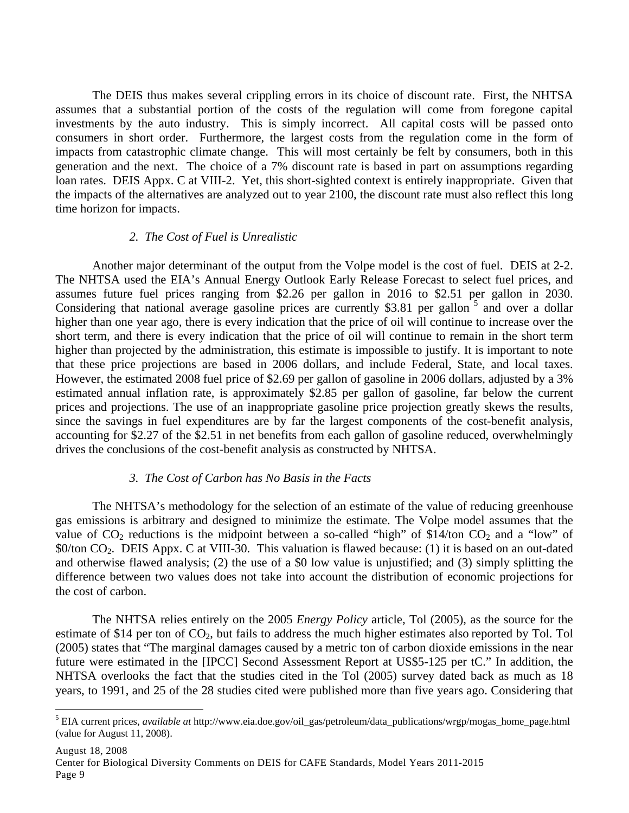The DEIS thus makes several crippling errors in its choice of discount rate. First, the NHTSA assumes that a substantial portion of the costs of the regulation will come from foregone capital investments by the auto industry. This is simply incorrect. All capital costs will be passed onto consumers in short order. Furthermore, the largest costs from the regulation come in the form of impacts from catastrophic climate change. This will most certainly be felt by consumers, both in this generation and the next. The choice of a 7% discount rate is based in part on assumptions regarding loan rates. DEIS Appx. C at VIII-2. Yet, this short-sighted context is entirely inappropriate. Given that the impacts of the alternatives are analyzed out to year 2100, the discount rate must also reflect this long time horizon for impacts.

#### *2. The Cost of Fuel is Unrealistic*

 Another major determinant of the output from the Volpe model is the cost of fuel. DEIS at 2-2. The NHTSA used the EIA's Annual Energy Outlook Early Release Forecast to select fuel prices, and assumes future fuel prices ranging from \$2.26 per gallon in 2016 to \$2.51 per gallon in 2030. Considering that national average gasoline prices are currently \$3.81 per gallon  $5$  and over a dollar higher than one year ago, there is every indication that the price of oil will continue to increase over the short term, and there is every indication that the price of oil will continue to remain in the short term higher than projected by the administration, this estimate is impossible to justify. It is important to note that these price projections are based in 2006 dollars, and include Federal, State, and local taxes. However, the estimated 2008 fuel price of \$2.69 per gallon of gasoline in 2006 dollars, adjusted by a 3% estimated annual inflation rate, is approximately \$2.85 per gallon of gasoline, far below the current prices and projections. The use of an inappropriate gasoline price projection greatly skews the results, since the savings in fuel expenditures are by far the largest components of the cost-benefit analysis, accounting for \$2.27 of the \$2.51 in net benefits from each gallon of gasoline reduced, overwhelmingly drives the conclusions of the cost-benefit analysis as constructed by NHTSA.

#### *3. The Cost of Carbon has No Basis in the Facts*

The NHTSA's methodology for the selection of an estimate of the value of reducing greenhouse gas emissions is arbitrary and designed to minimize the estimate. The Volpe model assumes that the value of  $CO_2$  reductions is the midpoint between a so-called "high" of \$14/ton  $CO_2$  and a "low" of \$0/ton CO2. DEIS Appx. C at VIII-30. This valuation is flawed because: (1) it is based on an out-dated and otherwise flawed analysis; (2) the use of a \$0 low value is unjustified; and (3) simply splitting the difference between two values does not take into account the distribution of economic projections for the cost of carbon.

The NHTSA relies entirely on the 2005 *Energy Policy* article, Tol (2005), as the source for the estimate of \$14 per ton of  $CO<sub>2</sub>$ , but fails to address the much higher estimates also reported by Tol. Tol (2005) states that "The marginal damages caused by a metric ton of carbon dioxide emissions in the near future were estimated in the [IPCC] Second Assessment Report at US\$5-125 per tC." In addition, the NHTSA overlooks the fact that the studies cited in the Tol (2005) survey dated back as much as 18 years, to 1991, and 25 of the 28 studies cited were published more than five years ago. Considering that

 $\overline{a}$ 

<sup>5</sup> EIA current prices, *available at* http://www.eia.doe.gov/oil\_gas/petroleum/data\_publications/wrgp/mogas\_home\_page.html (value for August 11, 2008).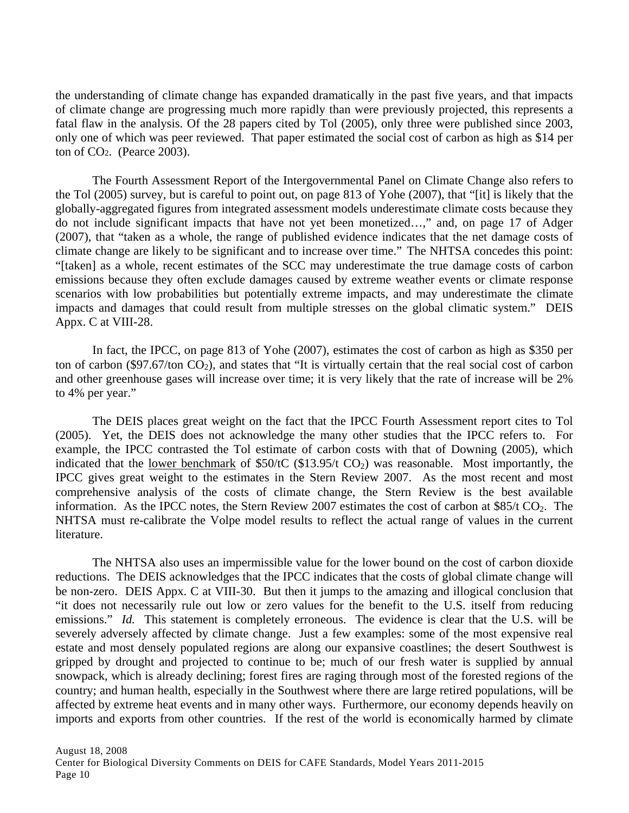the understanding of climate change has expanded dramatically in the past five years, and that impacts of climate change are progressing much more rapidly than were previously projected, this represents a fatal flaw in the analysis. Of the 28 papers cited by Tol (2005), only three were published since 2003, only one of which was peer reviewed. That paper estimated the social cost of carbon as high as \$14 per ton of CO2. (Pearce 2003).

The Fourth Assessment Report of the Intergovernmental Panel on Climate Change also refers to the Tol (2005) survey, but is careful to point out, on page 813 of Yohe (2007), that "[it] is likely that the globally-aggregated figures from integrated assessment models underestimate climate costs because they do not include significant impacts that have not yet been monetized…," and, on page 17 of Adger (2007), that "taken as a whole, the range of published evidence indicates that the net damage costs of climate change are likely to be significant and to increase over time." The NHTSA concedes this point: "[taken] as a whole, recent estimates of the SCC may underestimate the true damage costs of carbon emissions because they often exclude damages caused by extreme weather events or climate response scenarios with low probabilities but potentially extreme impacts, and may underestimate the climate impacts and damages that could result from multiple stresses on the global climatic system." DEIS Appx. C at VIII-28.

In fact, the IPCC, on page 813 of Yohe (2007), estimates the cost of carbon as high as \$350 per ton of carbon (\$97.67/ton  $CO<sub>2</sub>$ ), and states that "It is virtually certain that the real social cost of carbon and other greenhouse gases will increase over time; it is very likely that the rate of increase will be 2% to 4% per year."

The DEIS places great weight on the fact that the IPCC Fourth Assessment report cites to Tol (2005). Yet, the DEIS does not acknowledge the many other studies that the IPCC refers to. For example, the IPCC contrasted the Tol estimate of carbon costs with that of Downing (2005), which indicated that the lower benchmark of  $$50/1C ($13.95/t CO<sub>2</sub>)$  was reasonable. Most importantly, the IPCC gives great weight to the estimates in the Stern Review 2007. As the most recent and most comprehensive analysis of the costs of climate change, the Stern Review is the best available information. As the IPCC notes, the Stern Review 2007 estimates the cost of carbon at  $$85/t$  CO<sub>2</sub>. The NHTSA must re-calibrate the Volpe model results to reflect the actual range of values in the current literature.

The NHTSA also uses an impermissible value for the lower bound on the cost of carbon dioxide reductions. The DEIS acknowledges that the IPCC indicates that the costs of global climate change will be non-zero. DEIS Appx. C at VIII-30. But then it jumps to the amazing and illogical conclusion that "it does not necessarily rule out low or zero values for the benefit to the U.S. itself from reducing emissions." *Id.* This statement is completely erroneous. The evidence is clear that the U.S. will be severely adversely affected by climate change. Just a few examples: some of the most expensive real estate and most densely populated regions are along our expansive coastlines; the desert Southwest is gripped by drought and projected to continue to be; much of our fresh water is supplied by annual snowpack, which is already declining; forest fires are raging through most of the forested regions of the country; and human health, especially in the Southwest where there are large retired populations, will be affected by extreme heat events and in many other ways. Furthermore, our economy depends heavily on imports and exports from other countries. If the rest of the world is economically harmed by climate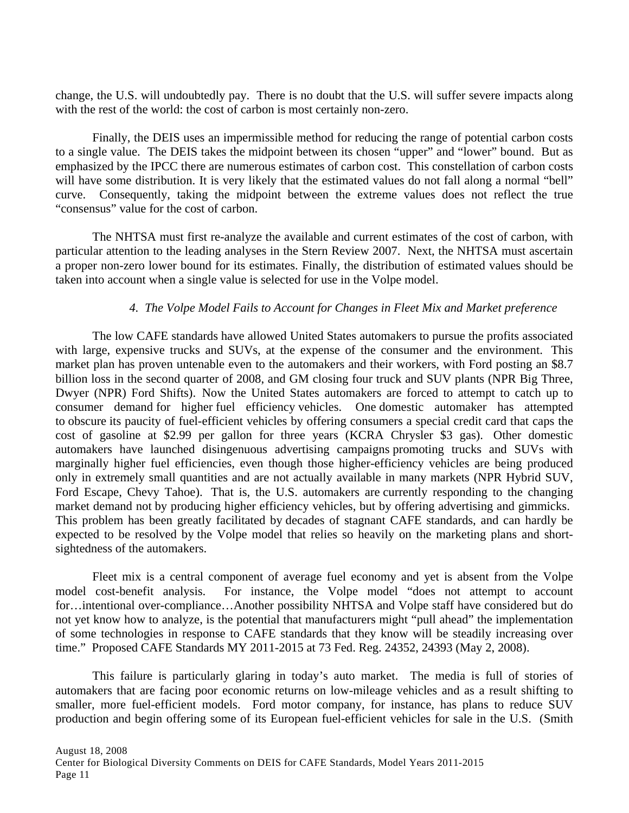change, the U.S. will undoubtedly pay. There is no doubt that the U.S. will suffer severe impacts along with the rest of the world: the cost of carbon is most certainly non-zero.

Finally, the DEIS uses an impermissible method for reducing the range of potential carbon costs to a single value. The DEIS takes the midpoint between its chosen "upper" and "lower" bound. But as emphasized by the IPCC there are numerous estimates of carbon cost. This constellation of carbon costs will have some distribution. It is very likely that the estimated values do not fall along a normal "bell" curve. Consequently, taking the midpoint between the extreme values does not reflect the true "consensus" value for the cost of carbon.

The NHTSA must first re-analyze the available and current estimates of the cost of carbon, with particular attention to the leading analyses in the Stern Review 2007. Next, the NHTSA must ascertain a proper non-zero lower bound for its estimates. Finally, the distribution of estimated values should be taken into account when a single value is selected for use in the Volpe model.

## *4. The Volpe Model Fails to Account for Changes in Fleet Mix and Market preference*

The low CAFE standards have allowed United States automakers to pursue the profits associated with large, expensive trucks and SUVs, at the expense of the consumer and the environment. This market plan has proven untenable even to the automakers and their workers, with Ford posting an \$8.7 billion loss in the second quarter of 2008, and GM closing four truck and SUV plants (NPR Big Three, Dwyer (NPR) Ford Shifts). Now the United States automakers are forced to attempt to catch up to consumer demand for higher fuel efficiency vehicles. One domestic automaker has attempted to obscure its paucity of fuel-efficient vehicles by offering consumers a special credit card that caps the cost of gasoline at \$2.99 per gallon for three years (KCRA Chrysler \$3 gas). Other domestic automakers have launched disingenuous advertising campaigns promoting trucks and SUVs with marginally higher fuel efficiencies, even though those higher-efficiency vehicles are being produced only in extremely small quantities and are not actually available in many markets (NPR Hybrid SUV, Ford Escape, Chevy Tahoe). That is, the U.S. automakers are currently responding to the changing market demand not by producing higher efficiency vehicles, but by offering advertising and gimmicks. This problem has been greatly facilitated by decades of stagnant CAFE standards, and can hardly be expected to be resolved by the Volpe model that relies so heavily on the marketing plans and shortsightedness of the automakers.

Fleet mix is a central component of average fuel economy and yet is absent from the Volpe model cost-benefit analysis. For instance, the Volpe model "does not attempt to account for…intentional over-compliance…Another possibility NHTSA and Volpe staff have considered but do not yet know how to analyze, is the potential that manufacturers might "pull ahead" the implementation of some technologies in response to CAFE standards that they know will be steadily increasing over time." Proposed CAFE Standards MY 2011-2015 at 73 Fed. Reg. 24352, 24393 (May 2, 2008).

This failure is particularly glaring in today's auto market. The media is full of stories of automakers that are facing poor economic returns on low-mileage vehicles and as a result shifting to smaller, more fuel-efficient models. Ford motor company, for instance, has plans to reduce SUV production and begin offering some of its European fuel-efficient vehicles for sale in the U.S. (Smith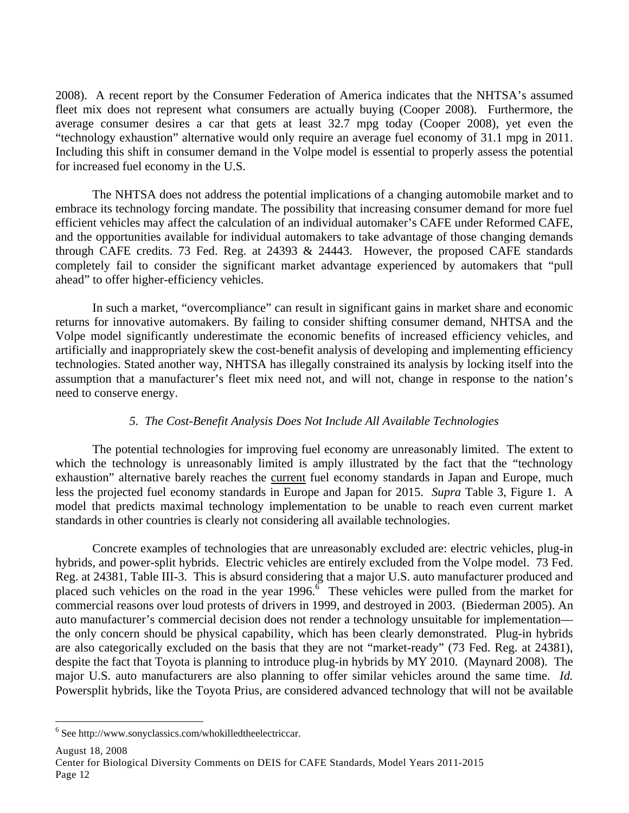2008). A recent report by the Consumer Federation of America indicates that the NHTSA's assumed fleet mix does not represent what consumers are actually buying (Cooper 2008). Furthermore, the average consumer desires a car that gets at least 32.7 mpg today (Cooper 2008), yet even the "technology exhaustion" alternative would only require an average fuel economy of 31.1 mpg in 2011. Including this shift in consumer demand in the Volpe model is essential to properly assess the potential for increased fuel economy in the U.S.

The NHTSA does not address the potential implications of a changing automobile market and to embrace its technology forcing mandate. The possibility that increasing consumer demand for more fuel efficient vehicles may affect the calculation of an individual automaker's CAFE under Reformed CAFE, and the opportunities available for individual automakers to take advantage of those changing demands through CAFE credits. 73 Fed. Reg. at 24393  $\&$  24443. However, the proposed CAFE standards completely fail to consider the significant market advantage experienced by automakers that "pull ahead" to offer higher-efficiency vehicles.

In such a market, "overcompliance" can result in significant gains in market share and economic returns for innovative automakers. By failing to consider shifting consumer demand, NHTSA and the Volpe model significantly underestimate the economic benefits of increased efficiency vehicles, and artificially and inappropriately skew the cost-benefit analysis of developing and implementing efficiency technologies. Stated another way, NHTSA has illegally constrained its analysis by locking itself into the assumption that a manufacturer's fleet mix need not, and will not, change in response to the nation's need to conserve energy.

### *5. The Cost-Benefit Analysis Does Not Include All Available Technologies*

The potential technologies for improving fuel economy are unreasonably limited. The extent to which the technology is unreasonably limited is amply illustrated by the fact that the "technology exhaustion" alternative barely reaches the current fuel economy standards in Japan and Europe, much less the projected fuel economy standards in Europe and Japan for 2015. *Supra* Table 3, Figure 1. A model that predicts maximal technology implementation to be unable to reach even current market standards in other countries is clearly not considering all available technologies.

 Concrete examples of technologies that are unreasonably excluded are: electric vehicles, plug-in hybrids, and power-split hybrids. Electric vehicles are entirely excluded from the Volpe model. 73 Fed. Reg. at 24381, Table III-3. This is absurd considering that a major U.S. auto manufacturer produced and placed such vehicles on the road in the year  $1996$ .<sup>6</sup> These vehicles were pulled from the market for commercial reasons over loud protests of drivers in 1999, and destroyed in 2003. (Biederman 2005). An auto manufacturer's commercial decision does not render a technology unsuitable for implementation the only concern should be physical capability, which has been clearly demonstrated. Plug-in hybrids are also categorically excluded on the basis that they are not "market-ready" (73 Fed. Reg. at 24381), despite the fact that Toyota is planning to introduce plug-in hybrids by MY 2010. (Maynard 2008). The major U.S. auto manufacturers are also planning to offer similar vehicles around the same time. *Id.* Powersplit hybrids, like the Toyota Prius, are considered advanced technology that will not be available

August 18, 2008

 $\overline{a}$ 

<sup>6</sup> See http://www.sonyclassics.com/whokilledtheelectriccar.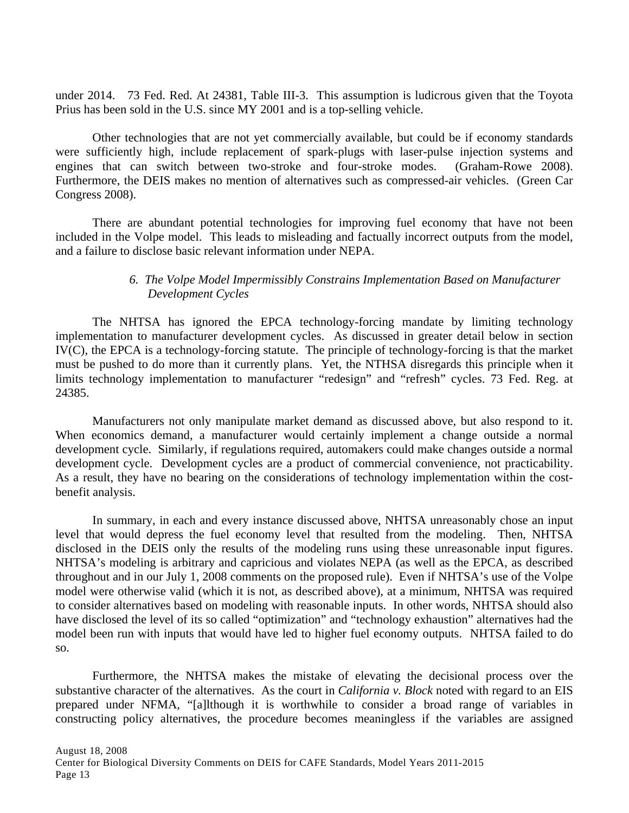under 2014. 73 Fed. Red. At 24381, Table III-3. This assumption is ludicrous given that the Toyota Prius has been sold in the U.S. since MY 2001 and is a top-selling vehicle.

 Other technologies that are not yet commercially available, but could be if economy standards were sufficiently high, include replacement of spark-plugs with laser-pulse injection systems and engines that can switch between two-stroke and four-stroke modes. (Graham-Rowe 2008). Furthermore, the DEIS makes no mention of alternatives such as compressed-air vehicles. (Green Car Congress 2008).

 There are abundant potential technologies for improving fuel economy that have not been included in the Volpe model. This leads to misleading and factually incorrect outputs from the model, and a failure to disclose basic relevant information under NEPA.

## *6. The Volpe Model Impermissibly Constrains Implementation Based on Manufacturer Development Cycles*

The NHTSA has ignored the EPCA technology-forcing mandate by limiting technology implementation to manufacturer development cycles. As discussed in greater detail below in section IV(C), the EPCA is a technology-forcing statute. The principle of technology-forcing is that the market must be pushed to do more than it currently plans. Yet, the NTHSA disregards this principle when it limits technology implementation to manufacturer "redesign" and "refresh" cycles. 73 Fed. Reg. at 24385.

 Manufacturers not only manipulate market demand as discussed above, but also respond to it. When economics demand, a manufacturer would certainly implement a change outside a normal development cycle. Similarly, if regulations required, automakers could make changes outside a normal development cycle. Development cycles are a product of commercial convenience, not practicability. As a result, they have no bearing on the considerations of technology implementation within the costbenefit analysis.

In summary, in each and every instance discussed above, NHTSA unreasonably chose an input level that would depress the fuel economy level that resulted from the modeling. Then, NHTSA disclosed in the DEIS only the results of the modeling runs using these unreasonable input figures. NHTSA's modeling is arbitrary and capricious and violates NEPA (as well as the EPCA, as described throughout and in our July 1, 2008 comments on the proposed rule). Even if NHTSA's use of the Volpe model were otherwise valid (which it is not, as described above), at a minimum, NHTSA was required to consider alternatives based on modeling with reasonable inputs. In other words, NHTSA should also have disclosed the level of its so called "optimization" and "technology exhaustion" alternatives had the model been run with inputs that would have led to higher fuel economy outputs. NHTSA failed to do so.

Furthermore, the NHTSA makes the mistake of elevating the decisional process over the substantive character of the alternatives. As the court in *California v. Block* noted with regard to an EIS prepared under NFMA, "[a]lthough it is worthwhile to consider a broad range of variables in constructing policy alternatives, the procedure becomes meaningless if the variables are assigned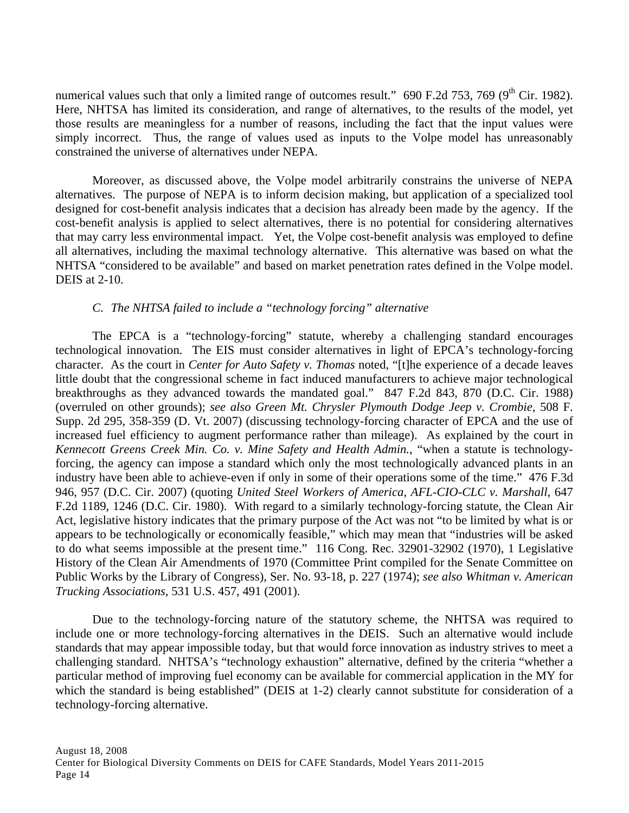numerical values such that only a limited range of outcomes result." 690 F.2d 753, 769 (9<sup>th</sup> Cir. 1982). Here, NHTSA has limited its consideration, and range of alternatives, to the results of the model, yet those results are meaningless for a number of reasons, including the fact that the input values were simply incorrect. Thus, the range of values used as inputs to the Volpe model has unreasonably constrained the universe of alternatives under NEPA.

Moreover, as discussed above, the Volpe model arbitrarily constrains the universe of NEPA alternatives. The purpose of NEPA is to inform decision making, but application of a specialized tool designed for cost-benefit analysis indicates that a decision has already been made by the agency. If the cost-benefit analysis is applied to select alternatives, there is no potential for considering alternatives that may carry less environmental impact. Yet, the Volpe cost-benefit analysis was employed to define all alternatives, including the maximal technology alternative. This alternative was based on what the NHTSA "considered to be available" and based on market penetration rates defined in the Volpe model. DEIS at 2-10.

## *C. The NHTSA failed to include a "technology forcing" alternative*

The EPCA is a "technology-forcing" statute, whereby a challenging standard encourages technological innovation. The EIS must consider alternatives in light of EPCA's technology-forcing character. As the court in *Center for Auto Safety v. Thomas* noted, "[t]he experience of a decade leaves little doubt that the congressional scheme in fact induced manufacturers to achieve major technological breakthroughs as they advanced towards the mandated goal." 847 F.2d 843, 870 (D.C. Cir. 1988) (overruled on other grounds); *see also Green Mt. Chrysler Plymouth Dodge Jeep v. Crombie*, 508 F. Supp. 2d 295, 358-359 (D. Vt. 2007) (discussing technology-forcing character of EPCA and the use of increased fuel efficiency to augment performance rather than mileage). As explained by the court in *Kennecott Greens Creek Min. Co. v. Mine Safety and Health Admin.*, "when a statute is technologyforcing, the agency can impose a standard which only the most technologically advanced plants in an industry have been able to achieve-even if only in some of their operations some of the time." 476 F.3d 946, 957 (D.C. Cir. 2007) (quoting *United Steel Workers of America, AFL-CIO-CLC v. Marshall*, 647 F.2d 1189, 1246 (D.C. Cir. 1980). With regard to a similarly technology-forcing statute, the Clean Air Act, legislative history indicates that the primary purpose of the Act was not "to be limited by what is or appears to be technologically or economically feasible," which may mean that "industries will be asked to do what seems impossible at the present time." 116 Cong. Rec. 32901-32902 (1970), 1 Legislative History of the Clean Air Amendments of 1970 (Committee Print compiled for the Senate Committee on Public Works by the Library of Congress), Ser. No. 93-18, p. 227 (1974); *see also Whitman v. American Trucking Associations*, 531 U.S. 457, 491 (2001).

Due to the technology-forcing nature of the statutory scheme, the NHTSA was required to include one or more technology-forcing alternatives in the DEIS. Such an alternative would include standards that may appear impossible today, but that would force innovation as industry strives to meet a challenging standard. NHTSA's "technology exhaustion" alternative, defined by the criteria "whether a particular method of improving fuel economy can be available for commercial application in the MY for which the standard is being established" (DEIS at 1-2) clearly cannot substitute for consideration of a technology-forcing alternative.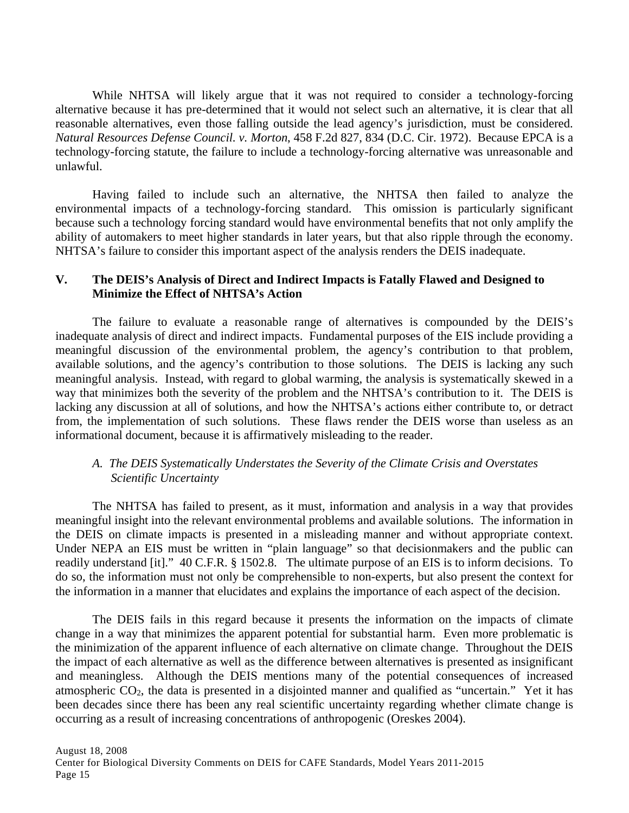While NHTSA will likely argue that it was not required to consider a technology-forcing alternative because it has pre-determined that it would not select such an alternative, it is clear that all reasonable alternatives, even those falling outside the lead agency's jurisdiction, must be considered. *Natural Resources Defense Council. v. Morton*, 458 F.2d 827, 834 (D.C. Cir. 1972). Because EPCA is a technology-forcing statute, the failure to include a technology-forcing alternative was unreasonable and unlawful.

Having failed to include such an alternative, the NHTSA then failed to analyze the environmental impacts of a technology-forcing standard. This omission is particularly significant because such a technology forcing standard would have environmental benefits that not only amplify the ability of automakers to meet higher standards in later years, but that also ripple through the economy. NHTSA's failure to consider this important aspect of the analysis renders the DEIS inadequate.

## **V. The DEIS's Analysis of Direct and Indirect Impacts is Fatally Flawed and Designed to Minimize the Effect of NHTSA's Action**

The failure to evaluate a reasonable range of alternatives is compounded by the DEIS's inadequate analysis of direct and indirect impacts. Fundamental purposes of the EIS include providing a meaningful discussion of the environmental problem, the agency's contribution to that problem, available solutions, and the agency's contribution to those solutions. The DEIS is lacking any such meaningful analysis. Instead, with regard to global warming, the analysis is systematically skewed in a way that minimizes both the severity of the problem and the NHTSA's contribution to it. The DEIS is lacking any discussion at all of solutions, and how the NHTSA's actions either contribute to, or detract from, the implementation of such solutions. These flaws render the DEIS worse than useless as an informational document, because it is affirmatively misleading to the reader.

### *A. The DEIS Systematically Understates the Severity of the Climate Crisis and Overstates Scientific Uncertainty*

 The NHTSA has failed to present, as it must, information and analysis in a way that provides meaningful insight into the relevant environmental problems and available solutions. The information in the DEIS on climate impacts is presented in a misleading manner and without appropriate context. Under NEPA an EIS must be written in "plain language" so that decisionmakers and the public can readily understand [it]." 40 C.F.R. § 1502.8. The ultimate purpose of an EIS is to inform decisions. To do so, the information must not only be comprehensible to non-experts, but also present the context for the information in a manner that elucidates and explains the importance of each aspect of the decision.

 The DEIS fails in this regard because it presents the information on the impacts of climate change in a way that minimizes the apparent potential for substantial harm. Even more problematic is the minimization of the apparent influence of each alternative on climate change. Throughout the DEIS the impact of each alternative as well as the difference between alternatives is presented as insignificant and meaningless. Although the DEIS mentions many of the potential consequences of increased atmospheric  $CO<sub>2</sub>$ , the data is presented in a disjointed manner and qualified as "uncertain." Yet it has been decades since there has been any real scientific uncertainty regarding whether climate change is occurring as a result of increasing concentrations of anthropogenic (Oreskes 2004).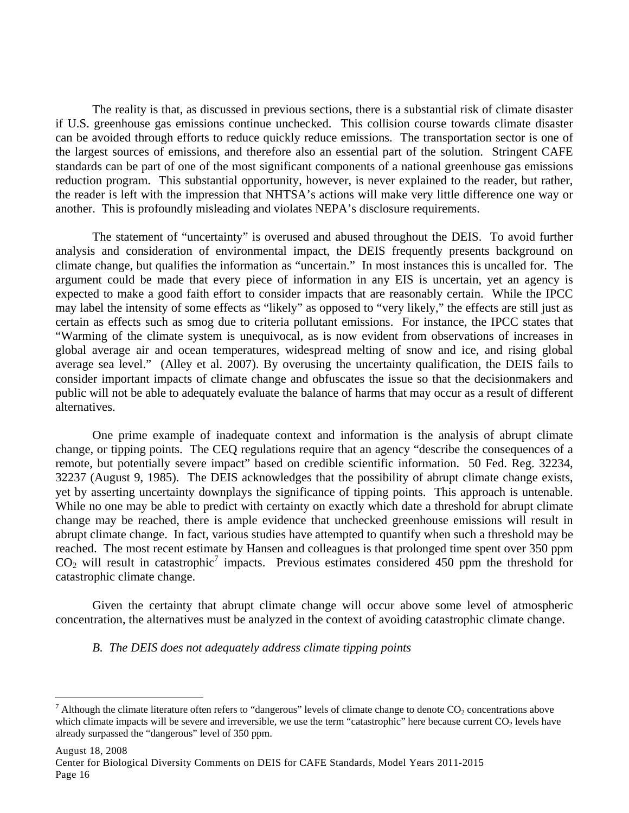The reality is that, as discussed in previous sections, there is a substantial risk of climate disaster if U.S. greenhouse gas emissions continue unchecked. This collision course towards climate disaster can be avoided through efforts to reduce quickly reduce emissions. The transportation sector is one of the largest sources of emissions, and therefore also an essential part of the solution. Stringent CAFE standards can be part of one of the most significant components of a national greenhouse gas emissions reduction program. This substantial opportunity, however, is never explained to the reader, but rather, the reader is left with the impression that NHTSA's actions will make very little difference one way or another. This is profoundly misleading and violates NEPA's disclosure requirements.

 The statement of "uncertainty" is overused and abused throughout the DEIS. To avoid further analysis and consideration of environmental impact, the DEIS frequently presents background on climate change, but qualifies the information as "uncertain." In most instances this is uncalled for. The argument could be made that every piece of information in any EIS is uncertain, yet an agency is expected to make a good faith effort to consider impacts that are reasonably certain. While the IPCC may label the intensity of some effects as "likely" as opposed to "very likely," the effects are still just as certain as effects such as smog due to criteria pollutant emissions. For instance, the IPCC states that "Warming of the climate system is unequivocal, as is now evident from observations of increases in global average air and ocean temperatures, widespread melting of snow and ice, and rising global average sea level." (Alley et al. 2007). By overusing the uncertainty qualification, the DEIS fails to consider important impacts of climate change and obfuscates the issue so that the decisionmakers and public will not be able to adequately evaluate the balance of harms that may occur as a result of different alternatives.

 One prime example of inadequate context and information is the analysis of abrupt climate change, or tipping points. The CEQ regulations require that an agency "describe the consequences of a remote, but potentially severe impact" based on credible scientific information. 50 Fed. Reg. 32234, 32237 (August 9, 1985). The DEIS acknowledges that the possibility of abrupt climate change exists, yet by asserting uncertainty downplays the significance of tipping points. This approach is untenable. While no one may be able to predict with certainty on exactly which date a threshold for abrupt climate change may be reached, there is ample evidence that unchecked greenhouse emissions will result in abrupt climate change. In fact, various studies have attempted to quantify when such a threshold may be reached. The most recent estimate by Hansen and colleagues is that prolonged time spent over 350 ppm  $CO<sub>2</sub>$  will result in catastrophic<sup>7</sup> impacts. Previous estimates considered 450 ppm the threshold for catastrophic climate change.

Given the certainty that abrupt climate change will occur above some level of atmospheric concentration, the alternatives must be analyzed in the context of avoiding catastrophic climate change.

#### *B. The DEIS does not adequately address climate tipping points*

 $\overline{a}$ 

<sup>&</sup>lt;sup>7</sup> Although the climate literature often refers to "dangerous" levels of climate change to denote  $CO_2$  concentrations above which climate impacts will be severe and irreversible, we use the term "catastrophic" here because current CO<sub>2</sub> levels have already surpassed the "dangerous" level of 350 ppm.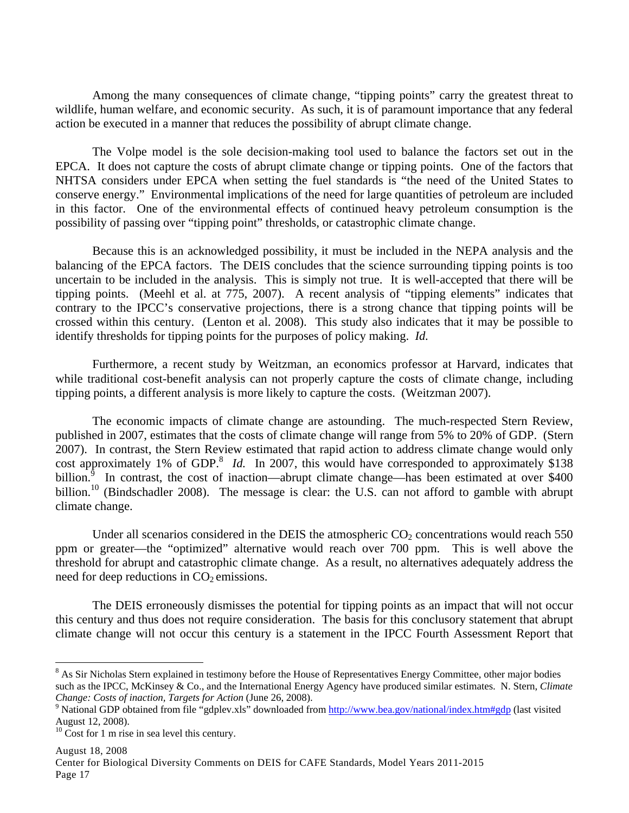Among the many consequences of climate change, "tipping points" carry the greatest threat to wildlife, human welfare, and economic security. As such, it is of paramount importance that any federal action be executed in a manner that reduces the possibility of abrupt climate change.

The Volpe model is the sole decision-making tool used to balance the factors set out in the EPCA. It does not capture the costs of abrupt climate change or tipping points. One of the factors that NHTSA considers under EPCA when setting the fuel standards is "the need of the United States to conserve energy." Environmental implications of the need for large quantities of petroleum are included in this factor. One of the environmental effects of continued heavy petroleum consumption is the possibility of passing over "tipping point" thresholds, or catastrophic climate change.

 Because this is an acknowledged possibility, it must be included in the NEPA analysis and the balancing of the EPCA factors. The DEIS concludes that the science surrounding tipping points is too uncertain to be included in the analysis. This is simply not true. It is well-accepted that there will be tipping points. (Meehl et al. at 775, 2007). A recent analysis of "tipping elements" indicates that contrary to the IPCC's conservative projections, there is a strong chance that tipping points will be crossed within this century. (Lenton et al. 2008). This study also indicates that it may be possible to identify thresholds for tipping points for the purposes of policy making. *Id.*

Furthermore, a recent study by Weitzman, an economics professor at Harvard, indicates that while traditional cost-benefit analysis can not properly capture the costs of climate change, including tipping points, a different analysis is more likely to capture the costs. (Weitzman 2007).

The economic impacts of climate change are astounding. The much-respected Stern Review, published in 2007, estimates that the costs of climate change will range from 5% to 20% of GDP. (Stern 2007). In contrast, the Stern Review estimated that rapid action to address climate change would only cost approximately 1% of GDP.<sup>8</sup> *Id.* In 2007, this would have corresponded to approximately \$138 billion.<sup> $\hat{9}$ </sup> In contrast, the cost of inaction—abrupt climate change—has been estimated at over \$400 billion.<sup>10</sup> (Bindschadler 2008). The message is clear: the U.S. can not afford to gamble with abrupt climate change.

Under all scenarios considered in the DEIS the atmospheric  $CO<sub>2</sub>$  concentrations would reach 550 ppm or greater—the "optimized" alternative would reach over 700 ppm. This is well above the threshold for abrupt and catastrophic climate change. As a result, no alternatives adequately address the need for deep reductions in  $CO<sub>2</sub>$  emissions.

 The DEIS erroneously dismisses the potential for tipping points as an impact that will not occur this century and thus does not require consideration. The basis for this conclusory statement that abrupt climate change will not occur this century is a statement in the IPCC Fourth Assessment Report that

1

<sup>&</sup>lt;sup>8</sup> As Sir Nicholas Stern explained in testimony before the House of Representatives Energy Committee, other major bodies such as the IPCC, McKinsey & Co., and the International Energy Agency have produced similar estimates. N. Stern, *Climate Change: Costs of inaction, Targets for Action* (June 26, 2008).

<sup>&</sup>lt;sup>9</sup> National GDP obtained from file "gdplev.xls" downloaded from http://www.bea.gov/national/index.htm#gdp (last visited August 12, 2008).

 $10$  Cost for 1 m rise in sea level this century.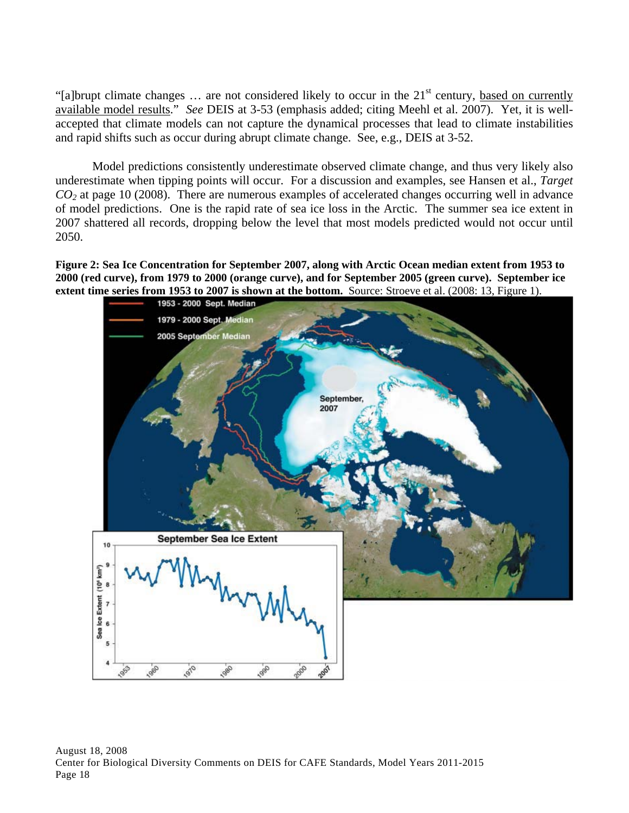"[a]brupt climate changes  $\ldots$  are not considered likely to occur in the 21<sup>st</sup> century, based on currently available model results." *See* DEIS at 3-53 (emphasis added; citing Meehl et al. 2007). Yet, it is wellaccepted that climate models can not capture the dynamical processes that lead to climate instabilities and rapid shifts such as occur during abrupt climate change. See, e.g., DEIS at 3-52.

Model predictions consistently underestimate observed climate change, and thus very likely also underestimate when tipping points will occur. For a discussion and examples, see Hansen et al., *Target CO2* at page 10 (2008). There are numerous examples of accelerated changes occurring well in advance of model predictions. One is the rapid rate of sea ice loss in the Arctic. The summer sea ice extent in 2007 shattered all records, dropping below the level that most models predicted would not occur until 2050.

**Figure 2: Sea Ice Concentration for September 2007, along with Arctic Ocean median extent from 1953 to 2000 (red curve), from 1979 to 2000 (orange curve), and for September 2005 (green curve). September ice extent time series from 1953 to 2007 is shown at the bottom.** Source: Stroeve et al. (2008: 13, Figure 1).

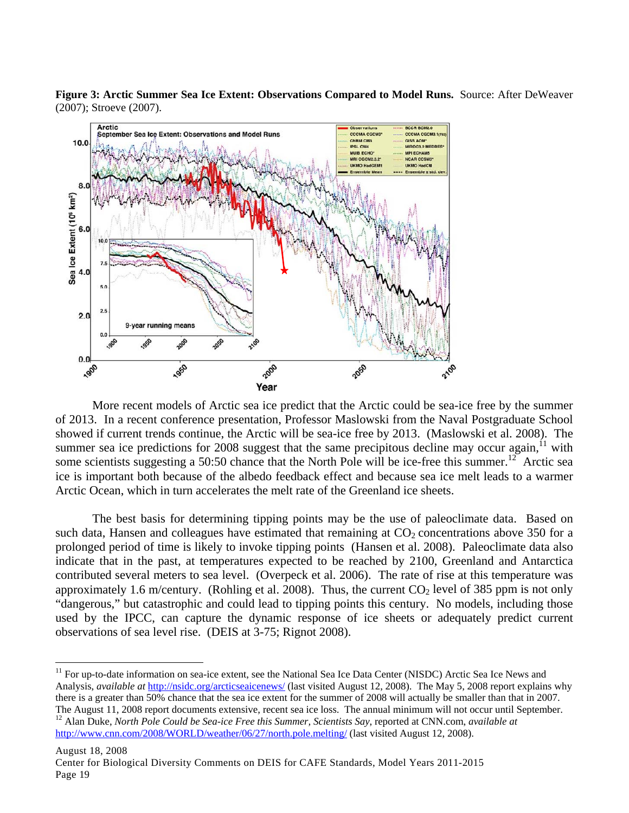**Figure 3: Arctic Summer Sea Ice Extent: Observations Compared to Model Runs.** Source: After DeWeaver (2007); Stroeve (2007).



More recent models of Arctic sea ice predict that the Arctic could be sea-ice free by the summer of 2013. In a recent conference presentation, Professor Maslowski from the Naval Postgraduate School showed if current trends continue, the Arctic will be sea-ice free by 2013. (Maslowski et al. 2008). The summer sea ice predictions for 2008 suggest that the same precipitous decline may occur again,  $\frac{11}{11}$  with some scientists suggesting a 50:50 chance that the North Pole will be ice-free this summer.<sup>12</sup> Arctic sea ice is important both because of the albedo feedback effect and because sea ice melt leads to a warmer Arctic Ocean, which in turn accelerates the melt rate of the Greenland ice sheets.

The best basis for determining tipping points may be the use of paleoclimate data. Based on such data, Hansen and colleagues have estimated that remaining at  $CO<sub>2</sub>$  concentrations above 350 for a prolonged period of time is likely to invoke tipping points (Hansen et al. 2008). Paleoclimate data also indicate that in the past, at temperatures expected to be reached by 2100, Greenland and Antarctica contributed several meters to sea level. (Overpeck et al. 2006). The rate of rise at this temperature was approximately 1.6 m/century. (Rohling et al. 2008). Thus, the current  $CO<sub>2</sub>$  level of 385 ppm is not only "dangerous," but catastrophic and could lead to tipping points this century. No models, including those used by the IPCC, can capture the dynamic response of ice sheets or adequately predict current observations of sea level rise. (DEIS at 3-75; Rignot 2008).

<sup>1</sup> <sup>11</sup> For up-to-date information on sea-ice extent, see the National Sea Ice Data Center (NISDC) Arctic Sea Ice News and Analysis, *available at* http://nsidc.org/arcticseaicenews/ (last visited August 12, 2008). The May 5, 2008 report explains why there is a greater than 50% chance that the sea ice extent for the summer of 2008 will actually be smaller than that in 2007.

The August 11, 2008 report documents extensive, recent sea ice loss. The annual minimum will not occur until September.<br><sup>12</sup> Alan Duke, *North Pole Could be Sea-ice Free this Summer, Scientists Say*, reported at CNN.com, http://www.cnn.com/2008/WORLD/weather/06/27/north.pole.melting/ (last visited August 12, 2008).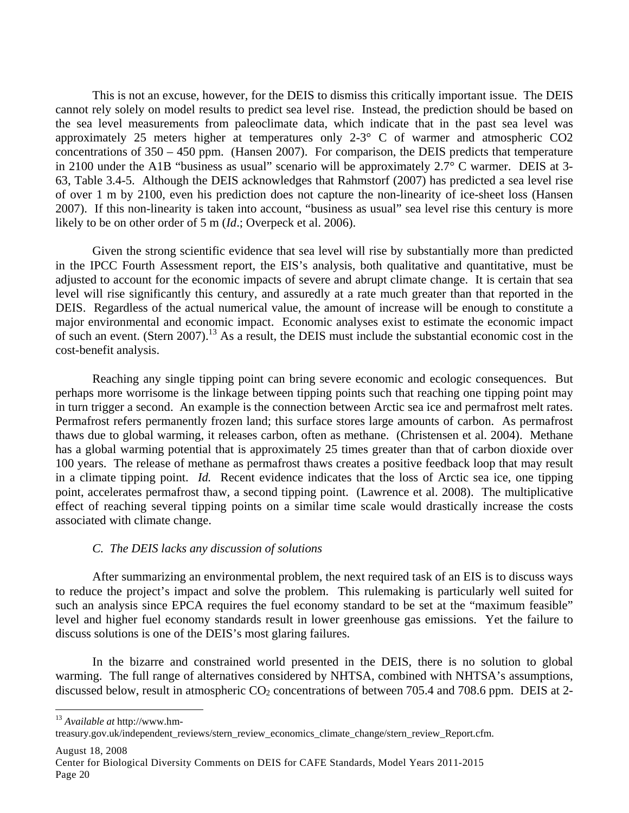This is not an excuse, however, for the DEIS to dismiss this critically important issue. The DEIS cannot rely solely on model results to predict sea level rise. Instead, the prediction should be based on the sea level measurements from paleoclimate data, which indicate that in the past sea level was approximately 25 meters higher at temperatures only 2-3° C of warmer and atmospheric CO2 concentrations of 350 – 450 ppm. (Hansen 2007). For comparison, the DEIS predicts that temperature in 2100 under the A1B "business as usual" scenario will be approximately 2.7° C warmer. DEIS at 3- 63, Table 3.4-5. Although the DEIS acknowledges that Rahmstorf (2007) has predicted a sea level rise of over 1 m by 2100, even his prediction does not capture the non-linearity of ice-sheet loss (Hansen 2007). If this non-linearity is taken into account, "business as usual" sea level rise this century is more likely to be on other order of 5 m (*Id*.; Overpeck et al. 2006).

Given the strong scientific evidence that sea level will rise by substantially more than predicted in the IPCC Fourth Assessment report, the EIS's analysis, both qualitative and quantitative, must be adjusted to account for the economic impacts of severe and abrupt climate change. It is certain that sea level will rise significantly this century, and assuredly at a rate much greater than that reported in the DEIS. Regardless of the actual numerical value, the amount of increase will be enough to constitute a major environmental and economic impact. Economic analyses exist to estimate the economic impact of such an event. (Stern 2007).13 As a result, the DEIS must include the substantial economic cost in the cost-benefit analysis.

Reaching any single tipping point can bring severe economic and ecologic consequences. But perhaps more worrisome is the linkage between tipping points such that reaching one tipping point may in turn trigger a second. An example is the connection between Arctic sea ice and permafrost melt rates. Permafrost refers permanently frozen land; this surface stores large amounts of carbon. As permafrost thaws due to global warming, it releases carbon, often as methane. (Christensen et al. 2004). Methane has a global warming potential that is approximately 25 times greater than that of carbon dioxide over 100 years. The release of methane as permafrost thaws creates a positive feedback loop that may result in a climate tipping point. *Id.* Recent evidence indicates that the loss of Arctic sea ice, one tipping point, accelerates permafrost thaw, a second tipping point. (Lawrence et al. 2008). The multiplicative effect of reaching several tipping points on a similar time scale would drastically increase the costs associated with climate change.

### *C. The DEIS lacks any discussion of solutions*

 After summarizing an environmental problem, the next required task of an EIS is to discuss ways to reduce the project's impact and solve the problem. This rulemaking is particularly well suited for such an analysis since EPCA requires the fuel economy standard to be set at the "maximum feasible" level and higher fuel economy standards result in lower greenhouse gas emissions. Yet the failure to discuss solutions is one of the DEIS's most glaring failures.

 In the bizarre and constrained world presented in the DEIS, there is no solution to global warming. The full range of alternatives considered by NHTSA, combined with NHTSA's assumptions, discussed below, result in atmospheric  $CO<sub>2</sub>$  concentrations of between 705.4 and 708.6 ppm. DEIS at 2-

<sup>13</sup> *Available at* http://www.hm-

August 18, 2008

 $\overline{a}$ 

treasury.gov.uk/independent\_reviews/stern\_review\_economics\_climate\_change/stern\_review\_Report.cfm.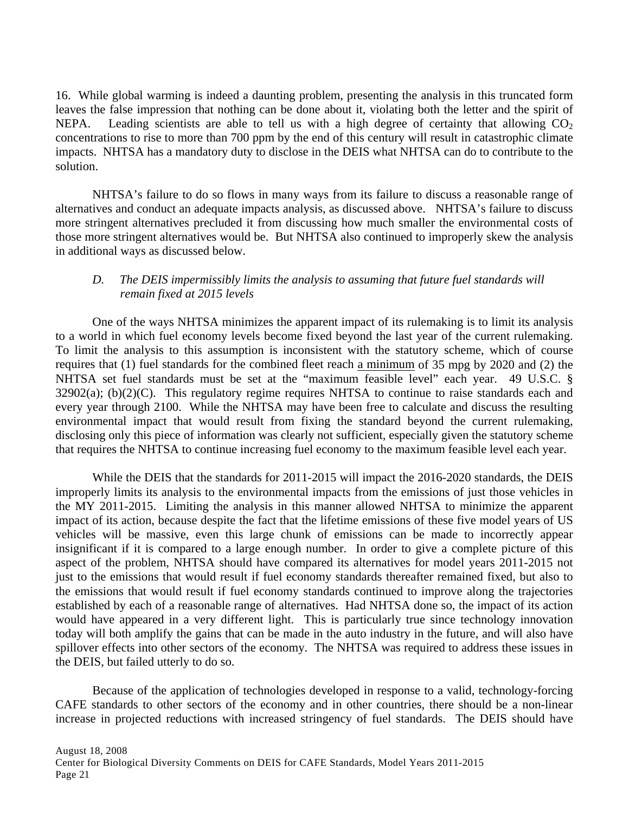16. While global warming is indeed a daunting problem, presenting the analysis in this truncated form leaves the false impression that nothing can be done about it, violating both the letter and the spirit of NEPA. Leading scientists are able to tell us with a high degree of certainty that allowing  $CO<sub>2</sub>$ concentrations to rise to more than 700 ppm by the end of this century will result in catastrophic climate impacts. NHTSA has a mandatory duty to disclose in the DEIS what NHTSA can do to contribute to the solution.

NHTSA's failure to do so flows in many ways from its failure to discuss a reasonable range of alternatives and conduct an adequate impacts analysis, as discussed above. NHTSA's failure to discuss more stringent alternatives precluded it from discussing how much smaller the environmental costs of those more stringent alternatives would be. But NHTSA also continued to improperly skew the analysis in additional ways as discussed below.

## *D. The DEIS impermissibly limits the analysis to assuming that future fuel standards will remain fixed at 2015 levels*

One of the ways NHTSA minimizes the apparent impact of its rulemaking is to limit its analysis to a world in which fuel economy levels become fixed beyond the last year of the current rulemaking. To limit the analysis to this assumption is inconsistent with the statutory scheme, which of course requires that (1) fuel standards for the combined fleet reach a minimum of 35 mpg by 2020 and (2) the NHTSA set fuel standards must be set at the "maximum feasible level" each year. 49 U.S.C. § 32902(a); (b)(2)(C). This regulatory regime requires NHTSA to continue to raise standards each and every year through 2100. While the NHTSA may have been free to calculate and discuss the resulting environmental impact that would result from fixing the standard beyond the current rulemaking, disclosing only this piece of information was clearly not sufficient, especially given the statutory scheme that requires the NHTSA to continue increasing fuel economy to the maximum feasible level each year.

While the DEIS that the standards for 2011-2015 will impact the 2016-2020 standards, the DEIS improperly limits its analysis to the environmental impacts from the emissions of just those vehicles in the MY 2011-2015. Limiting the analysis in this manner allowed NHTSA to minimize the apparent impact of its action, because despite the fact that the lifetime emissions of these five model years of US vehicles will be massive, even this large chunk of emissions can be made to incorrectly appear insignificant if it is compared to a large enough number. In order to give a complete picture of this aspect of the problem, NHTSA should have compared its alternatives for model years 2011-2015 not just to the emissions that would result if fuel economy standards thereafter remained fixed, but also to the emissions that would result if fuel economy standards continued to improve along the trajectories established by each of a reasonable range of alternatives. Had NHTSA done so, the impact of its action would have appeared in a very different light. This is particularly true since technology innovation today will both amplify the gains that can be made in the auto industry in the future, and will also have spillover effects into other sectors of the economy. The NHTSA was required to address these issues in the DEIS, but failed utterly to do so.

Because of the application of technologies developed in response to a valid, technology-forcing CAFE standards to other sectors of the economy and in other countries, there should be a non-linear increase in projected reductions with increased stringency of fuel standards. The DEIS should have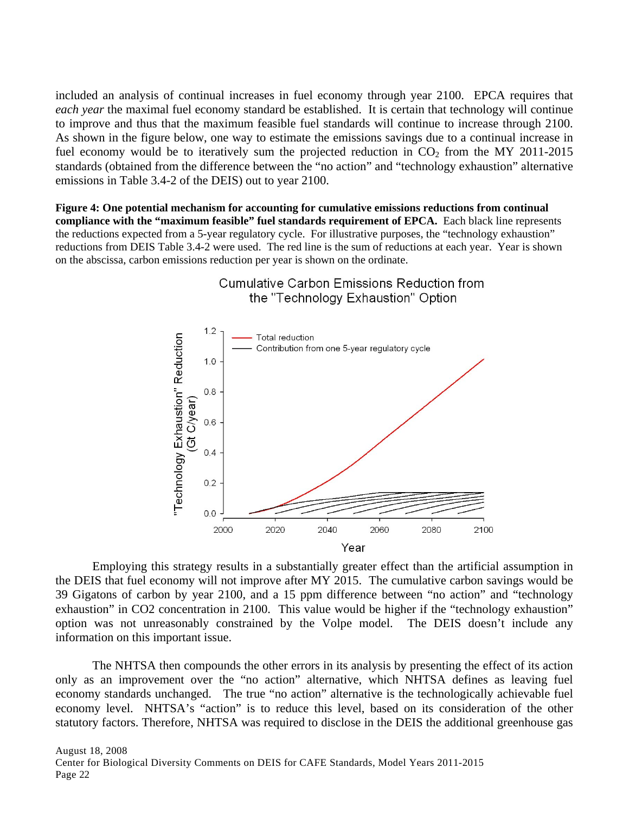included an analysis of continual increases in fuel economy through year 2100. EPCA requires that *each year* the maximal fuel economy standard be established. It is certain that technology will continue to improve and thus that the maximum feasible fuel standards will continue to increase through 2100. As shown in the figure below, one way to estimate the emissions savings due to a continual increase in fuel economy would be to iteratively sum the projected reduction in  $CO<sub>2</sub>$  from the MY 2011-2015 standards (obtained from the difference between the "no action" and "technology exhaustion" alternative emissions in Table 3.4-2 of the DEIS) out to year 2100.

**Figure 4: One potential mechanism for accounting for cumulative emissions reductions from continual compliance with the "maximum feasible" fuel standards requirement of EPCA.** Each black line represents the reductions expected from a 5-year regulatory cycle. For illustrative purposes, the "technology exhaustion" reductions from DEIS Table 3.4-2 were used. The red line is the sum of reductions at each year. Year is shown on the abscissa, carbon emissions reduction per year is shown on the ordinate.



**Cumulative Carbon Emissions Reduction from** the "Technology Exhaustion" Option

Employing this strategy results in a substantially greater effect than the artificial assumption in the DEIS that fuel economy will not improve after MY 2015. The cumulative carbon savings would be 39 Gigatons of carbon by year 2100, and a 15 ppm difference between "no action" and "technology exhaustion" in CO2 concentration in 2100. This value would be higher if the "technology exhaustion" option was not unreasonably constrained by the Volpe model. The DEIS doesn't include any information on this important issue.

The NHTSA then compounds the other errors in its analysis by presenting the effect of its action only as an improvement over the "no action" alternative, which NHTSA defines as leaving fuel economy standards unchanged. The true "no action" alternative is the technologically achievable fuel economy level. NHTSA's "action" is to reduce this level, based on its consideration of the other statutory factors. Therefore, NHTSA was required to disclose in the DEIS the additional greenhouse gas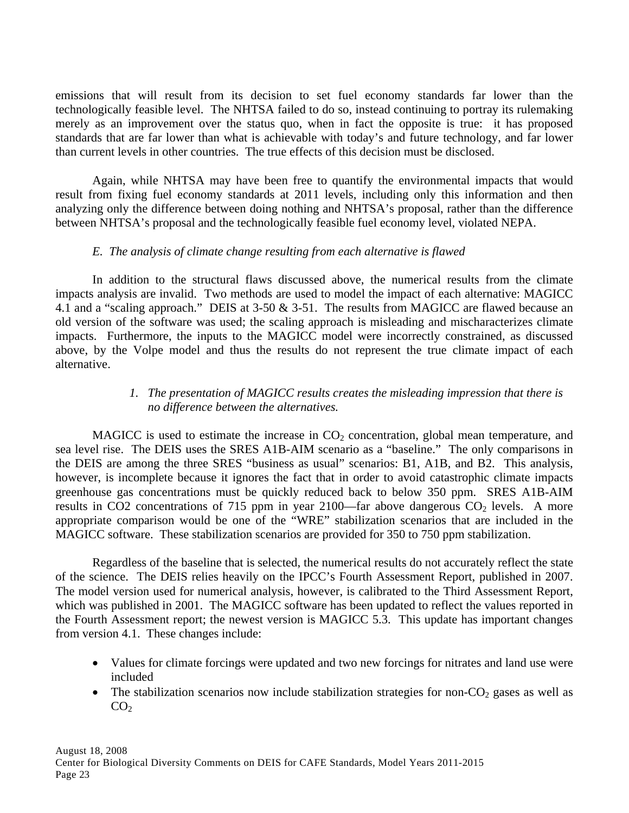emissions that will result from its decision to set fuel economy standards far lower than the technologically feasible level. The NHTSA failed to do so, instead continuing to portray its rulemaking merely as an improvement over the status quo, when in fact the opposite is true: it has proposed standards that are far lower than what is achievable with today's and future technology, and far lower than current levels in other countries. The true effects of this decision must be disclosed.

Again, while NHTSA may have been free to quantify the environmental impacts that would result from fixing fuel economy standards at 2011 levels, including only this information and then analyzing only the difference between doing nothing and NHTSA's proposal, rather than the difference between NHTSA's proposal and the technologically feasible fuel economy level, violated NEPA.

## *E. The analysis of climate change resulting from each alternative is flawed*

 In addition to the structural flaws discussed above, the numerical results from the climate impacts analysis are invalid. Two methods are used to model the impact of each alternative: MAGICC 4.1 and a "scaling approach." DEIS at 3-50 & 3-51. The results from MAGICC are flawed because an old version of the software was used; the scaling approach is misleading and mischaracterizes climate impacts. Furthermore, the inputs to the MAGICC model were incorrectly constrained, as discussed above, by the Volpe model and thus the results do not represent the true climate impact of each alternative.

## *1. The presentation of MAGICC results creates the misleading impression that there is no difference between the alternatives.*

MAGICC is used to estimate the increase in  $CO<sub>2</sub>$  concentration, global mean temperature, and sea level rise. The DEIS uses the SRES A1B-AIM scenario as a "baseline." The only comparisons in the DEIS are among the three SRES "business as usual" scenarios: B1, A1B, and B2. This analysis, however, is incomplete because it ignores the fact that in order to avoid catastrophic climate impacts greenhouse gas concentrations must be quickly reduced back to below 350 ppm. SRES A1B-AIM results in CO2 concentrations of 715 ppm in year 2100—far above dangerous  $CO<sub>2</sub>$  levels. A more appropriate comparison would be one of the "WRE" stabilization scenarios that are included in the MAGICC software. These stabilization scenarios are provided for 350 to 750 ppm stabilization.

Regardless of the baseline that is selected, the numerical results do not accurately reflect the state of the science. The DEIS relies heavily on the IPCC's Fourth Assessment Report, published in 2007. The model version used for numerical analysis, however, is calibrated to the Third Assessment Report, which was published in 2001. The MAGICC software has been updated to reflect the values reported in the Fourth Assessment report; the newest version is MAGICC 5.3. This update has important changes from version 4.1. These changes include:

- Values for climate forcings were updated and two new forcings for nitrates and land use were included
- The stabilization scenarios now include stabilization strategies for non- $CO<sub>2</sub>$  gases as well as  $CO<sub>2</sub>$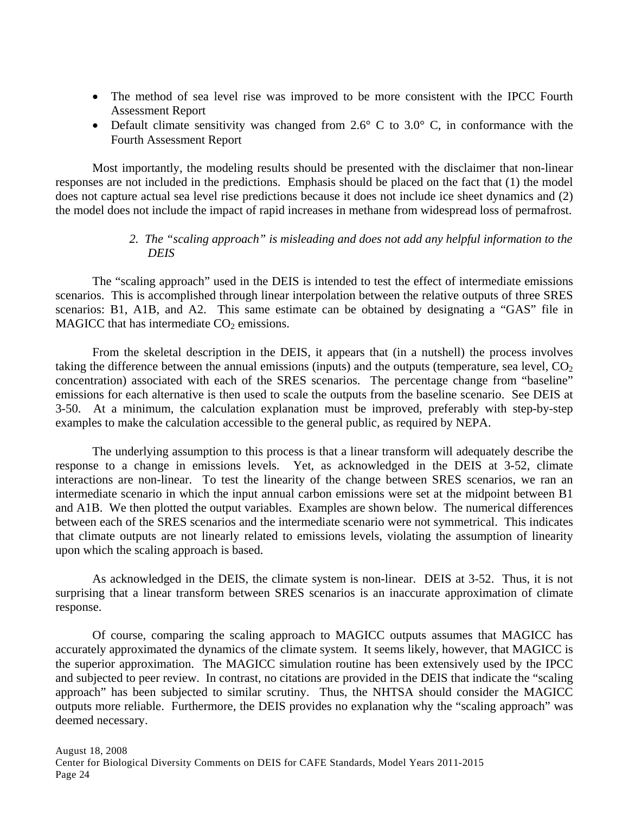- The method of sea level rise was improved to be more consistent with the IPCC Fourth Assessment Report
- Default climate sensitivity was changed from  $2.6^{\circ}$  C to  $3.0^{\circ}$  C, in conformance with the Fourth Assessment Report

 Most importantly, the modeling results should be presented with the disclaimer that non-linear responses are not included in the predictions. Emphasis should be placed on the fact that (1) the model does not capture actual sea level rise predictions because it does not include ice sheet dynamics and (2) the model does not include the impact of rapid increases in methane from widespread loss of permafrost.

## *2. The "scaling approach" is misleading and does not add any helpful information to the DEIS*

The "scaling approach" used in the DEIS is intended to test the effect of intermediate emissions scenarios. This is accomplished through linear interpolation between the relative outputs of three SRES scenarios: B1, A1B, and A2. This same estimate can be obtained by designating a "GAS" file in MAGICC that has intermediate  $CO<sub>2</sub>$  emissions.

 From the skeletal description in the DEIS, it appears that (in a nutshell) the process involves taking the difference between the annual emissions (inputs) and the outputs (temperature, sea level,  $CO<sub>2</sub>$ concentration) associated with each of the SRES scenarios. The percentage change from "baseline" emissions for each alternative is then used to scale the outputs from the baseline scenario. See DEIS at 3-50. At a minimum, the calculation explanation must be improved, preferably with step-by-step examples to make the calculation accessible to the general public, as required by NEPA.

 The underlying assumption to this process is that a linear transform will adequately describe the response to a change in emissions levels. Yet, as acknowledged in the DEIS at 3-52, climate interactions are non-linear. To test the linearity of the change between SRES scenarios, we ran an intermediate scenario in which the input annual carbon emissions were set at the midpoint between B1 and A1B. We then plotted the output variables. Examples are shown below. The numerical differences between each of the SRES scenarios and the intermediate scenario were not symmetrical. This indicates that climate outputs are not linearly related to emissions levels, violating the assumption of linearity upon which the scaling approach is based.

 As acknowledged in the DEIS, the climate system is non-linear. DEIS at 3-52. Thus, it is not surprising that a linear transform between SRES scenarios is an inaccurate approximation of climate response.

 Of course, comparing the scaling approach to MAGICC outputs assumes that MAGICC has accurately approximated the dynamics of the climate system. It seems likely, however, that MAGICC is the superior approximation. The MAGICC simulation routine has been extensively used by the IPCC and subjected to peer review. In contrast, no citations are provided in the DEIS that indicate the "scaling approach" has been subjected to similar scrutiny. Thus, the NHTSA should consider the MAGICC outputs more reliable. Furthermore, the DEIS provides no explanation why the "scaling approach" was deemed necessary.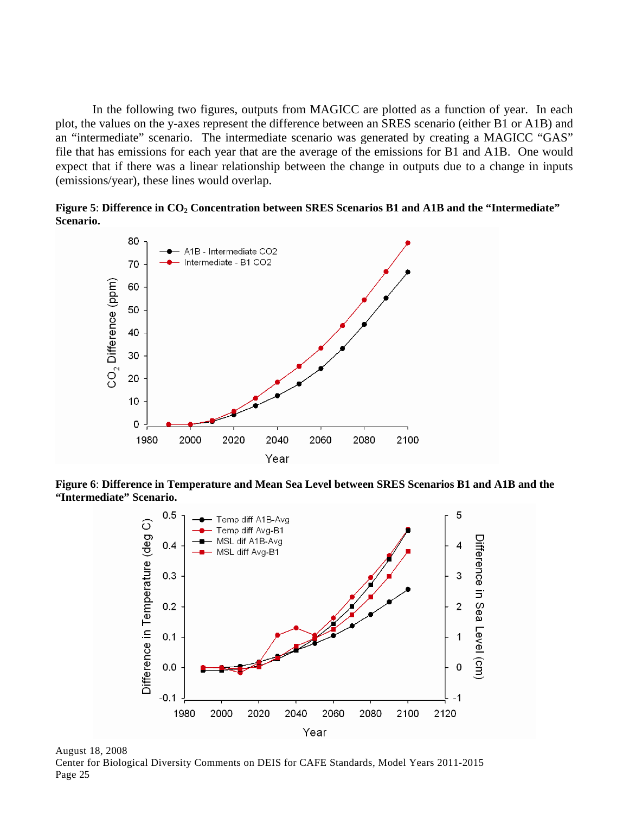In the following two figures, outputs from MAGICC are plotted as a function of year. In each plot, the values on the y-axes represent the difference between an SRES scenario (either B1 or A1B) and an "intermediate" scenario. The intermediate scenario was generated by creating a MAGICC "GAS" file that has emissions for each year that are the average of the emissions for B1 and A1B. One would expect that if there was a linear relationship between the change in outputs due to a change in inputs (emissions/year), these lines would overlap.

Figure 5: Difference in CO<sub>2</sub> Concentration between SRES Scenarios B1 and A1B and the "Intermediate" **Scenario.**



**Figure 6**: **Difference in Temperature and Mean Sea Level between SRES Scenarios B1 and A1B and the "Intermediate" Scenario.** 

![](_page_27_Figure_4.jpeg)

August 18, 2008 Center for Biological Diversity Comments on DEIS for CAFE Standards, Model Years 2011-2015 Page 25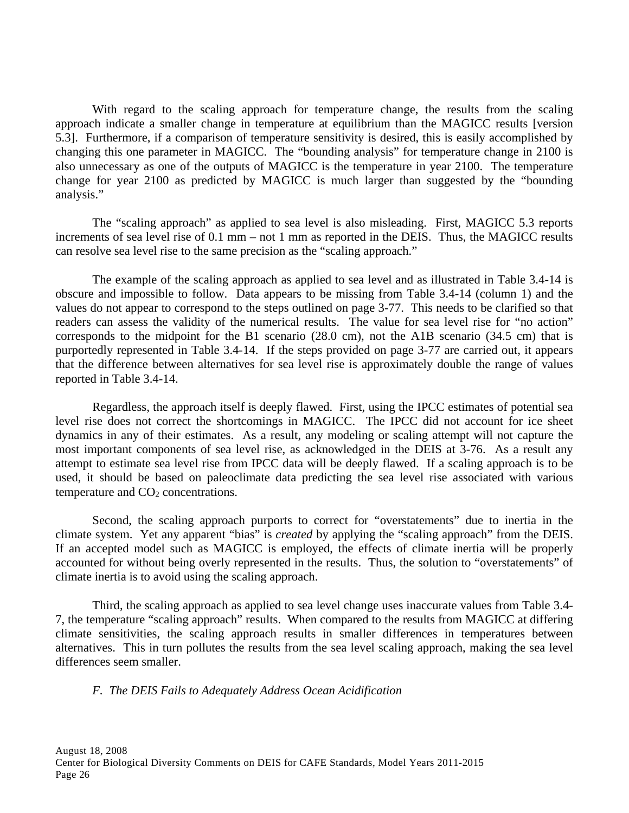With regard to the scaling approach for temperature change, the results from the scaling approach indicate a smaller change in temperature at equilibrium than the MAGICC results [version 5.3]. Furthermore, if a comparison of temperature sensitivity is desired, this is easily accomplished by changing this one parameter in MAGICC. The "bounding analysis" for temperature change in 2100 is also unnecessary as one of the outputs of MAGICC is the temperature in year 2100. The temperature change for year 2100 as predicted by MAGICC is much larger than suggested by the "bounding analysis."

The "scaling approach" as applied to sea level is also misleading. First, MAGICC 5.3 reports increments of sea level rise of 0.1 mm – not 1 mm as reported in the DEIS. Thus, the MAGICC results can resolve sea level rise to the same precision as the "scaling approach."

 The example of the scaling approach as applied to sea level and as illustrated in Table 3.4-14 is obscure and impossible to follow. Data appears to be missing from Table 3.4-14 (column 1) and the values do not appear to correspond to the steps outlined on page 3-77. This needs to be clarified so that readers can assess the validity of the numerical results. The value for sea level rise for "no action" corresponds to the midpoint for the B1 scenario (28.0 cm), not the A1B scenario (34.5 cm) that is purportedly represented in Table 3.4-14. If the steps provided on page 3-77 are carried out, it appears that the difference between alternatives for sea level rise is approximately double the range of values reported in Table 3.4-14.

Regardless, the approach itself is deeply flawed. First, using the IPCC estimates of potential sea level rise does not correct the shortcomings in MAGICC. The IPCC did not account for ice sheet dynamics in any of their estimates. As a result, any modeling or scaling attempt will not capture the most important components of sea level rise, as acknowledged in the DEIS at 3-76. As a result any attempt to estimate sea level rise from IPCC data will be deeply flawed. If a scaling approach is to be used, it should be based on paleoclimate data predicting the sea level rise associated with various temperature and  $CO<sub>2</sub>$  concentrations.

 Second, the scaling approach purports to correct for "overstatements" due to inertia in the climate system. Yet any apparent "bias" is *created* by applying the "scaling approach" from the DEIS. If an accepted model such as MAGICC is employed, the effects of climate inertia will be properly accounted for without being overly represented in the results. Thus, the solution to "overstatements" of climate inertia is to avoid using the scaling approach.

 Third, the scaling approach as applied to sea level change uses inaccurate values from Table 3.4- 7, the temperature "scaling approach" results. When compared to the results from MAGICC at differing climate sensitivities, the scaling approach results in smaller differences in temperatures between alternatives. This in turn pollutes the results from the sea level scaling approach, making the sea level differences seem smaller.

*F. The DEIS Fails to Adequately Address Ocean Acidification*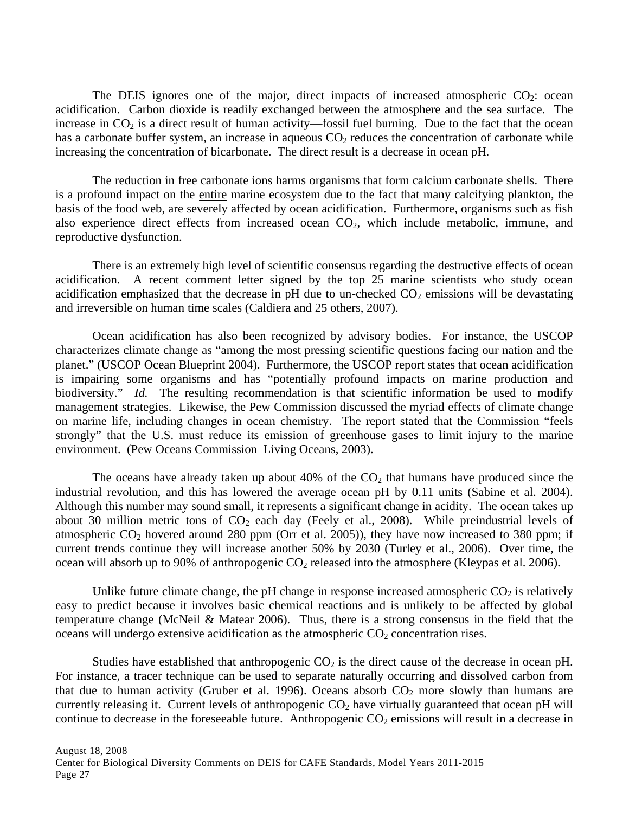The DEIS ignores one of the major, direct impacts of increased atmospheric  $CO_2$ : ocean acidification. Carbon dioxide is readily exchanged between the atmosphere and the sea surface. The increase in  $CO<sub>2</sub>$  is a direct result of human activity—fossil fuel burning. Due to the fact that the ocean has a carbonate buffer system, an increase in aqueous  $CO<sub>2</sub>$  reduces the concentration of carbonate while increasing the concentration of bicarbonate. The direct result is a decrease in ocean pH.

The reduction in free carbonate ions harms organisms that form calcium carbonate shells. There is a profound impact on the entire marine ecosystem due to the fact that many calcifying plankton, the basis of the food web, are severely affected by ocean acidification. Furthermore, organisms such as fish also experience direct effects from increased ocean CO<sub>2</sub>, which include metabolic, immune, and reproductive dysfunction.

There is an extremely high level of scientific consensus regarding the destructive effects of ocean acidification. A recent comment letter signed by the top 25 marine scientists who study ocean acidification emphasized that the decrease in pH due to un-checked  $CO<sub>2</sub>$  emissions will be devastating and irreversible on human time scales (Caldiera and 25 others, 2007).

Ocean acidification has also been recognized by advisory bodies. For instance, the USCOP characterizes climate change as "among the most pressing scientific questions facing our nation and the planet." (USCOP Ocean Blueprint 2004). Furthermore, the USCOP report states that ocean acidification is impairing some organisms and has "potentially profound impacts on marine production and biodiversity." *Id.* The resulting recommendation is that scientific information be used to modify management strategies. Likewise, the Pew Commission discussed the myriad effects of climate change on marine life, including changes in ocean chemistry. The report stated that the Commission "feels strongly" that the U.S. must reduce its emission of greenhouse gases to limit injury to the marine environment. (Pew Oceans Commission Living Oceans, 2003).

The oceans have already taken up about  $40\%$  of the  $CO<sub>2</sub>$  that humans have produced since the industrial revolution, and this has lowered the average ocean pH by 0.11 units (Sabine et al. 2004). Although this number may sound small, it represents a significant change in acidity. The ocean takes up about 30 million metric tons of  $CO<sub>2</sub>$  each day (Feely et al., 2008). While preindustrial levels of atmospheric  $CO_2$  hovered around 280 ppm (Orr et al. 2005)), they have now increased to 380 ppm; if current trends continue they will increase another 50% by 2030 (Turley et al., 2006). Over time, the ocean will absorb up to 90% of anthropogenic  $CO_2$  released into the atmosphere (Kleypas et al. 2006).

Unlike future climate change, the pH change in response increased atmospheric  $CO<sub>2</sub>$  is relatively easy to predict because it involves basic chemical reactions and is unlikely to be affected by global temperature change (McNeil & Matear 2006). Thus, there is a strong consensus in the field that the oceans will undergo extensive acidification as the atmospheric  $CO<sub>2</sub>$  concentration rises.

Studies have established that anthropogenic  $CO<sub>2</sub>$  is the direct cause of the decrease in ocean pH. For instance, a tracer technique can be used to separate naturally occurring and dissolved carbon from that due to human activity (Gruber et al. 1996). Oceans absorb  $CO<sub>2</sub>$  more slowly than humans are currently releasing it. Current levels of anthropogenic  $CO<sub>2</sub>$  have virtually guaranteed that ocean pH will continue to decrease in the foreseeable future. Anthropogenic  $CO<sub>2</sub>$  emissions will result in a decrease in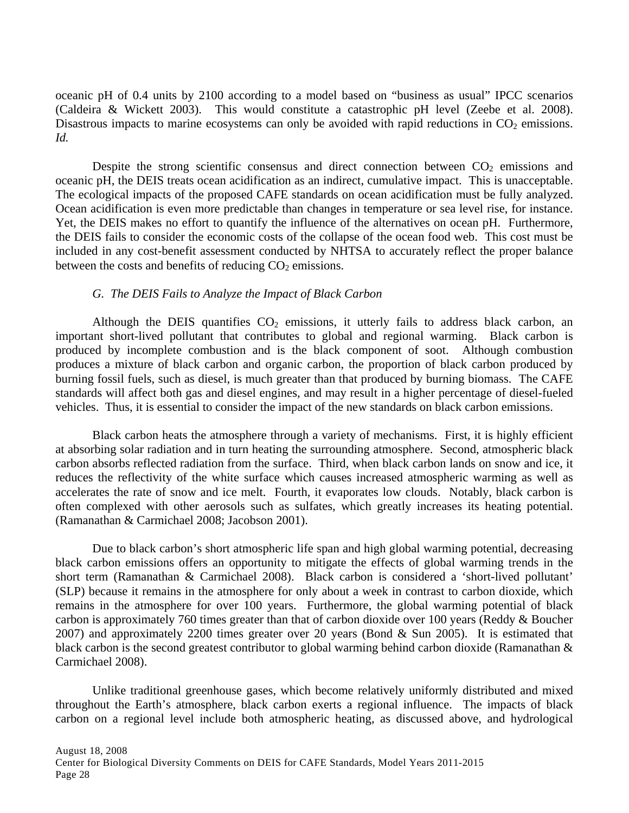oceanic pH of 0.4 units by 2100 according to a model based on "business as usual" IPCC scenarios (Caldeira & Wickett 2003). This would constitute a catastrophic pH level (Zeebe et al. 2008). Disastrous impacts to marine ecosystems can only be avoided with rapid reductions in  $CO<sub>2</sub>$  emissions. *Id.*

Despite the strong scientific consensus and direct connection between  $CO<sub>2</sub>$  emissions and oceanic pH, the DEIS treats ocean acidification as an indirect, cumulative impact. This is unacceptable. The ecological impacts of the proposed CAFE standards on ocean acidification must be fully analyzed. Ocean acidification is even more predictable than changes in temperature or sea level rise, for instance. Yet, the DEIS makes no effort to quantify the influence of the alternatives on ocean pH. Furthermore, the DEIS fails to consider the economic costs of the collapse of the ocean food web. This cost must be included in any cost-benefit assessment conducted by NHTSA to accurately reflect the proper balance between the costs and benefits of reducing  $CO<sub>2</sub>$  emissions.

### *G. The DEIS Fails to Analyze the Impact of Black Carbon*

Although the DEIS quantifies  $CO<sub>2</sub>$  emissions, it utterly fails to address black carbon, an important short-lived pollutant that contributes to global and regional warming. Black carbon is produced by incomplete combustion and is the black component of soot. Although combustion produces a mixture of black carbon and organic carbon, the proportion of black carbon produced by burning fossil fuels, such as diesel, is much greater than that produced by burning biomass. The CAFE standards will affect both gas and diesel engines, and may result in a higher percentage of diesel-fueled vehicles. Thus, it is essential to consider the impact of the new standards on black carbon emissions.

 Black carbon heats the atmosphere through a variety of mechanisms. First, it is highly efficient at absorbing solar radiation and in turn heating the surrounding atmosphere. Second, atmospheric black carbon absorbs reflected radiation from the surface. Third, when black carbon lands on snow and ice, it reduces the reflectivity of the white surface which causes increased atmospheric warming as well as accelerates the rate of snow and ice melt. Fourth, it evaporates low clouds. Notably, black carbon is often complexed with other aerosols such as sulfates, which greatly increases its heating potential. (Ramanathan & Carmichael 2008; Jacobson 2001).

Due to black carbon's short atmospheric life span and high global warming potential, decreasing black carbon emissions offers an opportunity to mitigate the effects of global warming trends in the short term (Ramanathan & Carmichael 2008). Black carbon is considered a 'short-lived pollutant' (SLP) because it remains in the atmosphere for only about a week in contrast to carbon dioxide, which remains in the atmosphere for over 100 years. Furthermore, the global warming potential of black carbon is approximately 760 times greater than that of carbon dioxide over 100 years (Reddy & Boucher 2007) and approximately 2200 times greater over 20 years (Bond & Sun 2005). It is estimated that black carbon is the second greatest contributor to global warming behind carbon dioxide (Ramanathan & Carmichael 2008).

Unlike traditional greenhouse gases, which become relatively uniformly distributed and mixed throughout the Earth's atmosphere, black carbon exerts a regional influence. The impacts of black carbon on a regional level include both atmospheric heating, as discussed above, and hydrological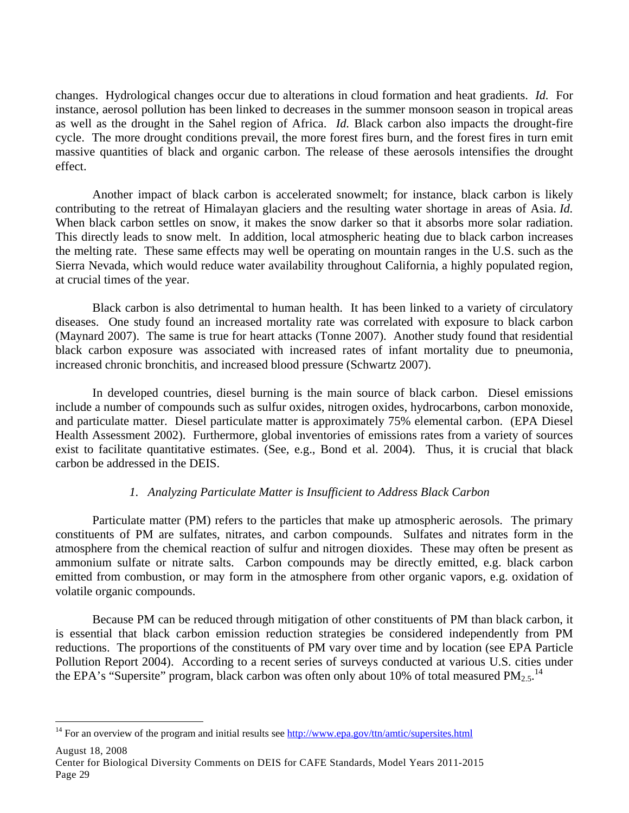changes. Hydrological changes occur due to alterations in cloud formation and heat gradients. *Id.* For instance, aerosol pollution has been linked to decreases in the summer monsoon season in tropical areas as well as the drought in the Sahel region of Africa. *Id.* Black carbon also impacts the drought-fire cycle. The more drought conditions prevail, the more forest fires burn, and the forest fires in turn emit massive quantities of black and organic carbon. The release of these aerosols intensifies the drought effect.

Another impact of black carbon is accelerated snowmelt; for instance, black carbon is likely contributing to the retreat of Himalayan glaciers and the resulting water shortage in areas of Asia. *Id.*  When black carbon settles on snow, it makes the snow darker so that it absorbs more solar radiation. This directly leads to snow melt. In addition, local atmospheric heating due to black carbon increases the melting rate. These same effects may well be operating on mountain ranges in the U.S. such as the Sierra Nevada, which would reduce water availability throughout California, a highly populated region, at crucial times of the year.

Black carbon is also detrimental to human health. It has been linked to a variety of circulatory diseases. One study found an increased mortality rate was correlated with exposure to black carbon (Maynard 2007). The same is true for heart attacks (Tonne 2007). Another study found that residential black carbon exposure was associated with increased rates of infant mortality due to pneumonia, increased chronic bronchitis, and increased blood pressure (Schwartz 2007).

In developed countries, diesel burning is the main source of black carbon. Diesel emissions include a number of compounds such as sulfur oxides, nitrogen oxides, hydrocarbons, carbon monoxide, and particulate matter. Diesel particulate matter is approximately 75% elemental carbon. (EPA Diesel Health Assessment 2002). Furthermore, global inventories of emissions rates from a variety of sources exist to facilitate quantitative estimates. (See, e.g., Bond et al. 2004). Thus, it is crucial that black carbon be addressed in the DEIS.

## *1. Analyzing Particulate Matter is Insufficient to Address Black Carbon*

Particulate matter (PM) refers to the particles that make up atmospheric aerosols. The primary constituents of PM are sulfates, nitrates, and carbon compounds. Sulfates and nitrates form in the atmosphere from the chemical reaction of sulfur and nitrogen dioxides. These may often be present as ammonium sulfate or nitrate salts. Carbon compounds may be directly emitted, e.g. black carbon emitted from combustion, or may form in the atmosphere from other organic vapors, e.g. oxidation of volatile organic compounds.

 Because PM can be reduced through mitigation of other constituents of PM than black carbon, it is essential that black carbon emission reduction strategies be considered independently from PM reductions. The proportions of the constituents of PM vary over time and by location (see EPA Particle Pollution Report 2004). According to a recent series of surveys conducted at various U.S. cities under the EPA's "Supersite" program, black carbon was often only about 10% of total measured  $PM_{2.5}$ .<sup>14</sup>

August 18, 2008 Center for Biological Diversity Comments on DEIS for CAFE Standards, Model Years 2011-2015 Page 29

<u>.</u>

<sup>&</sup>lt;sup>14</sup> For an overview of the program and initial results see  $\frac{http://www.epa.gov/ttn/amtic/supersites.html}{$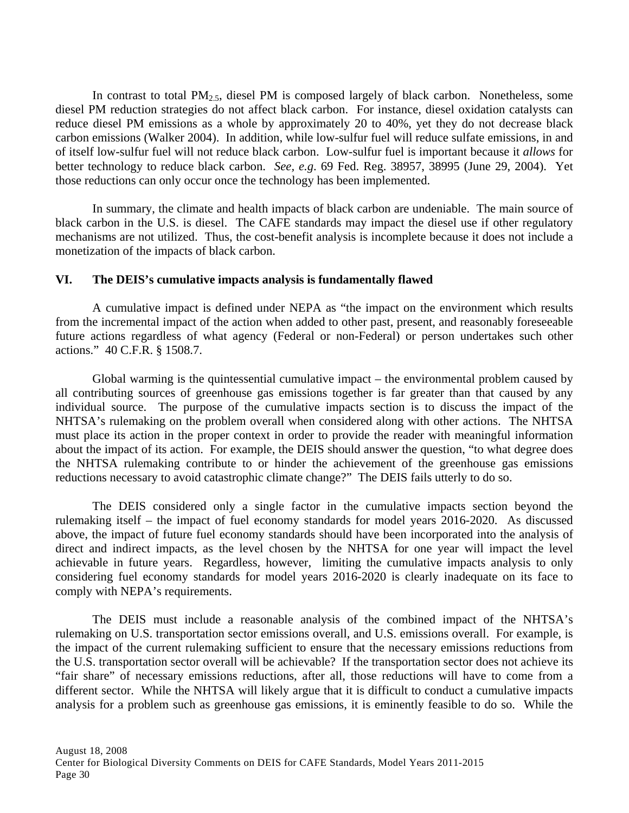In contrast to total  $PM_{2.5}$ , diesel PM is composed largely of black carbon. Nonetheless, some diesel PM reduction strategies do not affect black carbon. For instance, diesel oxidation catalysts can reduce diesel PM emissions as a whole by approximately 20 to 40%, yet they do not decrease black carbon emissions (Walker 2004). In addition, while low-sulfur fuel will reduce sulfate emissions, in and of itself low-sulfur fuel will not reduce black carbon. Low-sulfur fuel is important because it *allows* for better technology to reduce black carbon. *See, e.g*. 69 Fed. Reg. 38957, 38995 (June 29, 2004). Yet those reductions can only occur once the technology has been implemented.

 In summary, the climate and health impacts of black carbon are undeniable. The main source of black carbon in the U.S. is diesel. The CAFE standards may impact the diesel use if other regulatory mechanisms are not utilized. Thus, the cost-benefit analysis is incomplete because it does not include a monetization of the impacts of black carbon.

### **VI. The DEIS's cumulative impacts analysis is fundamentally flawed**

A cumulative impact is defined under NEPA as "the impact on the environment which results from the incremental impact of the action when added to other past, present, and reasonably foreseeable future actions regardless of what agency (Federal or non-Federal) or person undertakes such other actions." 40 C.F.R. § 1508.7.

Global warming is the quintessential cumulative impact – the environmental problem caused by all contributing sources of greenhouse gas emissions together is far greater than that caused by any individual source. The purpose of the cumulative impacts section is to discuss the impact of the NHTSA's rulemaking on the problem overall when considered along with other actions. The NHTSA must place its action in the proper context in order to provide the reader with meaningful information about the impact of its action. For example, the DEIS should answer the question, "to what degree does the NHTSA rulemaking contribute to or hinder the achievement of the greenhouse gas emissions reductions necessary to avoid catastrophic climate change?" The DEIS fails utterly to do so.

The DEIS considered only a single factor in the cumulative impacts section beyond the rulemaking itself – the impact of fuel economy standards for model years 2016-2020. As discussed above, the impact of future fuel economy standards should have been incorporated into the analysis of direct and indirect impacts, as the level chosen by the NHTSA for one year will impact the level achievable in future years. Regardless, however, limiting the cumulative impacts analysis to only considering fuel economy standards for model years 2016-2020 is clearly inadequate on its face to comply with NEPA's requirements.

The DEIS must include a reasonable analysis of the combined impact of the NHTSA's rulemaking on U.S. transportation sector emissions overall, and U.S. emissions overall. For example, is the impact of the current rulemaking sufficient to ensure that the necessary emissions reductions from the U.S. transportation sector overall will be achievable? If the transportation sector does not achieve its "fair share" of necessary emissions reductions, after all, those reductions will have to come from a different sector. While the NHTSA will likely argue that it is difficult to conduct a cumulative impacts analysis for a problem such as greenhouse gas emissions, it is eminently feasible to do so. While the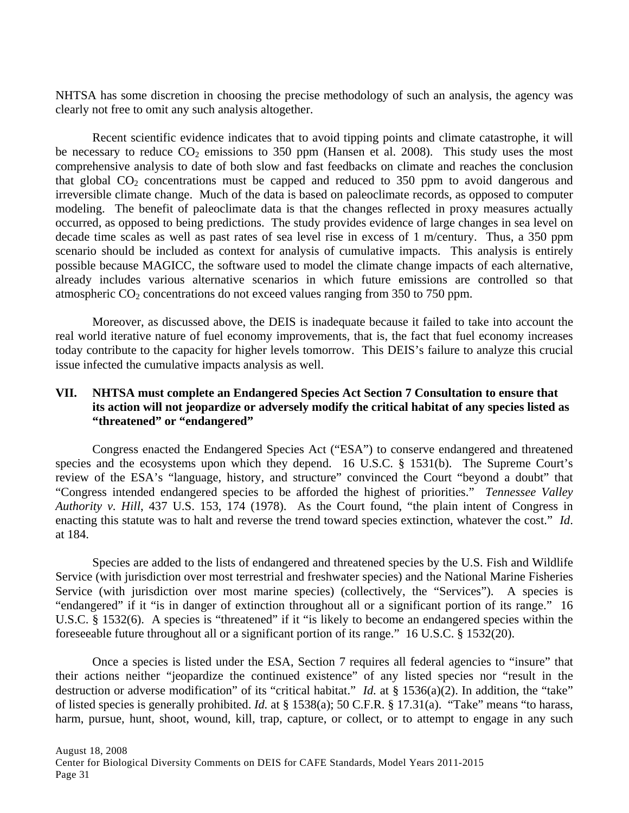NHTSA has some discretion in choosing the precise methodology of such an analysis, the agency was clearly not free to omit any such analysis altogether.

Recent scientific evidence indicates that to avoid tipping points and climate catastrophe, it will be necessary to reduce  $CO_2$  emissions to 350 ppm (Hansen et al. 2008). This study uses the most comprehensive analysis to date of both slow and fast feedbacks on climate and reaches the conclusion that global  $CO<sub>2</sub>$  concentrations must be capped and reduced to 350 ppm to avoid dangerous and irreversible climate change. Much of the data is based on paleoclimate records, as opposed to computer modeling. The benefit of paleoclimate data is that the changes reflected in proxy measures actually occurred, as opposed to being predictions. The study provides evidence of large changes in sea level on decade time scales as well as past rates of sea level rise in excess of 1 m/century. Thus, a 350 ppm scenario should be included as context for analysis of cumulative impacts. This analysis is entirely possible because MAGICC, the software used to model the climate change impacts of each alternative, already includes various alternative scenarios in which future emissions are controlled so that atmospheric  $CO<sub>2</sub>$  concentrations do not exceed values ranging from 350 to 750 ppm.

Moreover, as discussed above, the DEIS is inadequate because it failed to take into account the real world iterative nature of fuel economy improvements, that is, the fact that fuel economy increases today contribute to the capacity for higher levels tomorrow. This DEIS's failure to analyze this crucial issue infected the cumulative impacts analysis as well.

### **VII. NHTSA must complete an Endangered Species Act Section 7 Consultation to ensure that its action will not jeopardize or adversely modify the critical habitat of any species listed as "threatened" or "endangered"**

Congress enacted the Endangered Species Act ("ESA") to conserve endangered and threatened species and the ecosystems upon which they depend. 16 U.S.C. § 1531(b). The Supreme Court's review of the ESA's "language, history, and structure" convinced the Court "beyond a doubt" that "Congress intended endangered species to be afforded the highest of priorities." *Tennessee Valley Authority v. Hill*, 437 U.S. 153, 174 (1978). As the Court found, "the plain intent of Congress in enacting this statute was to halt and reverse the trend toward species extinction, whatever the cost." *Id*. at 184.

Species are added to the lists of endangered and threatened species by the U.S. Fish and Wildlife Service (with jurisdiction over most terrestrial and freshwater species) and the National Marine Fisheries Service (with jurisdiction over most marine species) (collectively, the "Services"). A species is "endangered" if it "is in danger of extinction throughout all or a significant portion of its range." 16 U.S.C. § 1532(6). A species is "threatened" if it "is likely to become an endangered species within the foreseeable future throughout all or a significant portion of its range." 16 U.S.C. § 1532(20).

Once a species is listed under the ESA, Section 7 requires all federal agencies to "insure" that their actions neither "jeopardize the continued existence" of any listed species nor "result in the destruction or adverse modification" of its "critical habitat." *Id.* at § 1536(a)(2). In addition, the "take" of listed species is generally prohibited. *Id.* at § 1538(a); 50 C.F.R. § 17.31(a). "Take" means "to harass, harm, pursue, hunt, shoot, wound, kill, trap, capture, or collect, or to attempt to engage in any such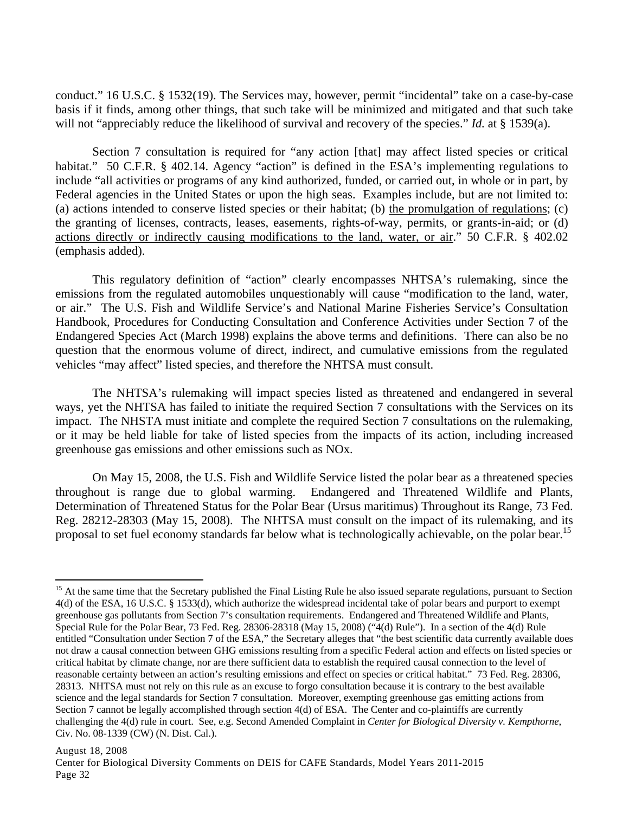conduct." 16 U.S.C. § 1532(19). The Services may, however, permit "incidental" take on a case-by-case basis if it finds, among other things, that such take will be minimized and mitigated and that such take will not "appreciably reduce the likelihood of survival and recovery of the species." *Id.* at § 1539(a).

Section 7 consultation is required for "any action [that] may affect listed species or critical habitat." 50 C.F.R. § 402.14. Agency "action" is defined in the ESA's implementing regulations to include "all activities or programs of any kind authorized, funded, or carried out, in whole or in part, by Federal agencies in the United States or upon the high seas. Examples include, but are not limited to: (a) actions intended to conserve listed species or their habitat; (b) the promulgation of regulations; (c) the granting of licenses, contracts, leases, easements, rights-of-way, permits, or grants-in-aid; or (d) actions directly or indirectly causing modifications to the land, water, or air." 50 C.F.R. § 402.02 (emphasis added).

This regulatory definition of "action" clearly encompasses NHTSA's rulemaking, since the emissions from the regulated automobiles unquestionably will cause "modification to the land, water, or air." The U.S. Fish and Wildlife Service's and National Marine Fisheries Service's Consultation Handbook, Procedures for Conducting Consultation and Conference Activities under Section 7 of the Endangered Species Act (March 1998) explains the above terms and definitions. There can also be no question that the enormous volume of direct, indirect, and cumulative emissions from the regulated vehicles "may affect" listed species, and therefore the NHTSA must consult.

The NHTSA's rulemaking will impact species listed as threatened and endangered in several ways, yet the NHTSA has failed to initiate the required Section 7 consultations with the Services on its impact. The NHSTA must initiate and complete the required Section 7 consultations on the rulemaking, or it may be held liable for take of listed species from the impacts of its action, including increased greenhouse gas emissions and other emissions such as NOx.

On May 15, 2008, the U.S. Fish and Wildlife Service listed the polar bear as a threatened species throughout is range due to global warming. Endangered and Threatened Wildlife and Plants, Determination of Threatened Status for the Polar Bear (Ursus maritimus) Throughout its Range, 73 Fed. Reg. 28212-28303 (May 15, 2008). The NHTSA must consult on the impact of its rulemaking, and its proposal to set fuel economy standards far below what is technologically achievable, on the polar bear.<sup>15</sup>

 $\overline{a}$ 

<sup>&</sup>lt;sup>15</sup> At the same time that the Secretary published the Final Listing Rule he also issued separate regulations, pursuant to Section 4(d) of the ESA, 16 U.S.C. § 1533(d), which authorize the widespread incidental take of polar bears and purport to exempt greenhouse gas pollutants from Section 7's consultation requirements. Endangered and Threatened Wildlife and Plants, Special Rule for the Polar Bear, 73 Fed. Reg. 28306-28318 (May 15, 2008) ("4(d) Rule"). In a section of the 4(d) Rule entitled "Consultation under Section 7 of the ESA," the Secretary alleges that "the best scientific data currently available does not draw a causal connection between GHG emissions resulting from a specific Federal action and effects on listed species or critical habitat by climate change, nor are there sufficient data to establish the required causal connection to the level of reasonable certainty between an action's resulting emissions and effect on species or critical habitat." 73 Fed. Reg. 28306, 28313. NHTSA must not rely on this rule as an excuse to forgo consultation because it is contrary to the best available science and the legal standards for Section 7 consultation. Moreover, exempting greenhouse gas emitting actions from Section 7 cannot be legally accomplished through section 4(d) of ESA. The Center and co-plaintiffs are currently challenging the 4(d) rule in court. See, e.g. Second Amended Complaint in *Center for Biological Diversity v. Kempthorne*, Civ. No. 08-1339 (CW) (N. Dist. Cal.).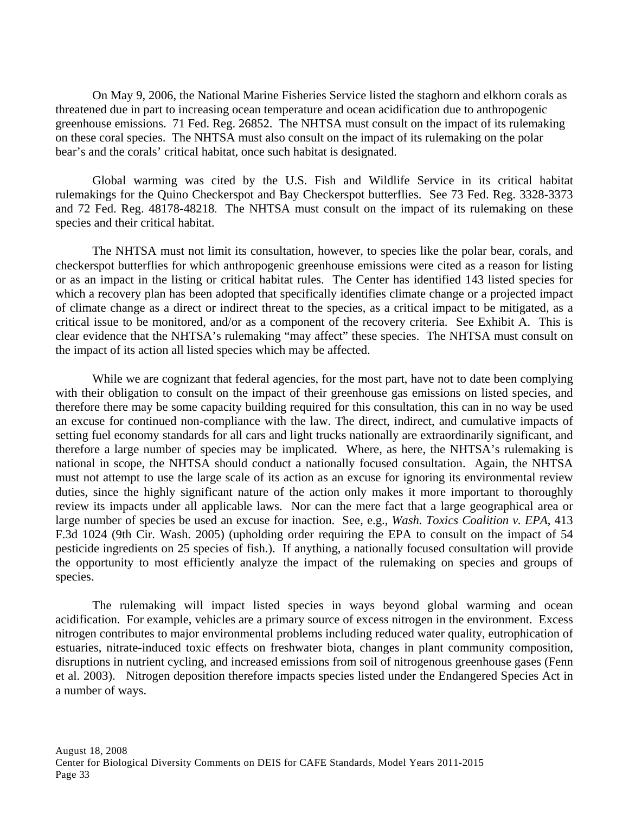On May 9, 2006, the National Marine Fisheries Service listed the staghorn and elkhorn corals as threatened due in part to increasing ocean temperature and ocean acidification due to anthropogenic greenhouse emissions. 71 Fed. Reg. 26852. The NHTSA must consult on the impact of its rulemaking on these coral species. The NHTSA must also consult on the impact of its rulemaking on the polar bear's and the corals' critical habitat, once such habitat is designated.

Global warming was cited by the U.S. Fish and Wildlife Service in its critical habitat rulemakings for the Quino Checkerspot and Bay Checkerspot butterflies. See 73 Fed. Reg. 3328-3373 and 72 Fed. Reg. 48178-48218. The NHTSA must consult on the impact of its rulemaking on these species and their critical habitat.

 The NHTSA must not limit its consultation, however, to species like the polar bear, corals, and checkerspot butterflies for which anthropogenic greenhouse emissions were cited as a reason for listing or as an impact in the listing or critical habitat rules. The Center has identified 143 listed species for which a recovery plan has been adopted that specifically identifies climate change or a projected impact of climate change as a direct or indirect threat to the species, as a critical impact to be mitigated, as a critical issue to be monitored, and/or as a component of the recovery criteria. See Exhibit A. This is clear evidence that the NHTSA's rulemaking "may affect" these species. The NHTSA must consult on the impact of its action all listed species which may be affected.

While we are cognizant that federal agencies, for the most part, have not to date been complying with their obligation to consult on the impact of their greenhouse gas emissions on listed species, and therefore there may be some capacity building required for this consultation, this can in no way be used an excuse for continued non-compliance with the law. The direct, indirect, and cumulative impacts of setting fuel economy standards for all cars and light trucks nationally are extraordinarily significant, and therefore a large number of species may be implicated. Where, as here, the NHTSA's rulemaking is national in scope, the NHTSA should conduct a nationally focused consultation. Again, the NHTSA must not attempt to use the large scale of its action as an excuse for ignoring its environmental review duties, since the highly significant nature of the action only makes it more important to thoroughly review its impacts under all applicable laws. Nor can the mere fact that a large geographical area or large number of species be used an excuse for inaction. See, e.g., *Wash. Toxics Coalition v. EPA*, 413 F.3d 1024 (9th Cir. Wash. 2005) (upholding order requiring the EPA to consult on the impact of 54 pesticide ingredients on 25 species of fish.). If anything, a nationally focused consultation will provide the opportunity to most efficiently analyze the impact of the rulemaking on species and groups of species.

The rulemaking will impact listed species in ways beyond global warming and ocean acidification. For example, vehicles are a primary source of excess nitrogen in the environment. Excess nitrogen contributes to major environmental problems including reduced water quality, eutrophication of estuaries, nitrate-induced toxic effects on freshwater biota, changes in plant community composition, disruptions in nutrient cycling, and increased emissions from soil of nitrogenous greenhouse gases (Fenn et al. 2003). Nitrogen deposition therefore impacts species listed under the Endangered Species Act in a number of ways.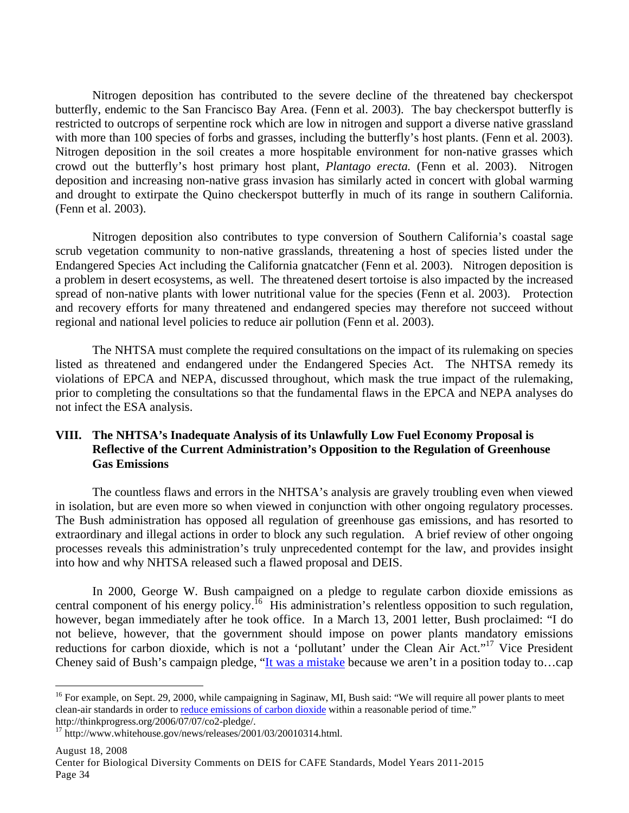Nitrogen deposition has contributed to the severe decline of the threatened bay checkerspot butterfly, endemic to the San Francisco Bay Area. (Fenn et al. 2003). The bay checkerspot butterfly is restricted to outcrops of serpentine rock which are low in nitrogen and support a diverse native grassland with more than 100 species of forbs and grasses, including the butterfly's host plants. (Fenn et al. 2003). Nitrogen deposition in the soil creates a more hospitable environment for non-native grasses which crowd out the butterfly's host primary host plant, *Plantago erecta.* (Fenn et al. 2003). Nitrogen deposition and increasing non-native grass invasion has similarly acted in concert with global warming and drought to extirpate the Quino checkerspot butterfly in much of its range in southern California. (Fenn et al. 2003).

 Nitrogen deposition also contributes to type conversion of Southern California's coastal sage scrub vegetation community to non-native grasslands, threatening a host of species listed under the Endangered Species Act including the California gnatcatcher (Fenn et al. 2003). Nitrogen deposition is a problem in desert ecosystems, as well. The threatened desert tortoise is also impacted by the increased spread of non-native plants with lower nutritional value for the species (Fenn et al. 2003). Protection and recovery efforts for many threatened and endangered species may therefore not succeed without regional and national level policies to reduce air pollution (Fenn et al. 2003).

 The NHTSA must complete the required consultations on the impact of its rulemaking on species listed as threatened and endangered under the Endangered Species Act. The NHTSA remedy its violations of EPCA and NEPA, discussed throughout, which mask the true impact of the rulemaking, prior to completing the consultations so that the fundamental flaws in the EPCA and NEPA analyses do not infect the ESA analysis.

## **VIII. The NHTSA's Inadequate Analysis of its Unlawfully Low Fuel Economy Proposal is Reflective of the Current Administration's Opposition to the Regulation of Greenhouse Gas Emissions**

The countless flaws and errors in the NHTSA's analysis are gravely troubling even when viewed in isolation, but are even more so when viewed in conjunction with other ongoing regulatory processes. The Bush administration has opposed all regulation of greenhouse gas emissions, and has resorted to extraordinary and illegal actions in order to block any such regulation. A brief review of other ongoing processes reveals this administration's truly unprecedented contempt for the law, and provides insight into how and why NHTSA released such a flawed proposal and DEIS.

In 2000, George W. Bush campaigned on a pledge to regulate carbon dioxide emissions as central component of his energy policy.<sup>16</sup> His administration's relentless opposition to such regulation, however, began immediately after he took office. In a March 13, 2001 letter, Bush proclaimed: "I do not believe, however, that the government should impose on power plants mandatory emissions reductions for carbon dioxide, which is not a 'pollutant' under the Clean Air Act."<sup>17</sup> Vice President Cheney said of Bush's campaign pledge, "It was a mistake because we aren't in a position today to...cap

 $\overline{a}$ 

<sup>&</sup>lt;sup>16</sup> For example, on Sept. 29, 2000, while campaigning in Saginaw, MI, Bush said: "We will require all power plants to meet clean-air standards in order to reduce emissions of carbon dioxide within a reasonable period of time." http://thinkprogress.org/2006/07/07/co2-pledge/.

 $17$  http://www.whitehouse.gov/news/releases/2001/03/20010314.html.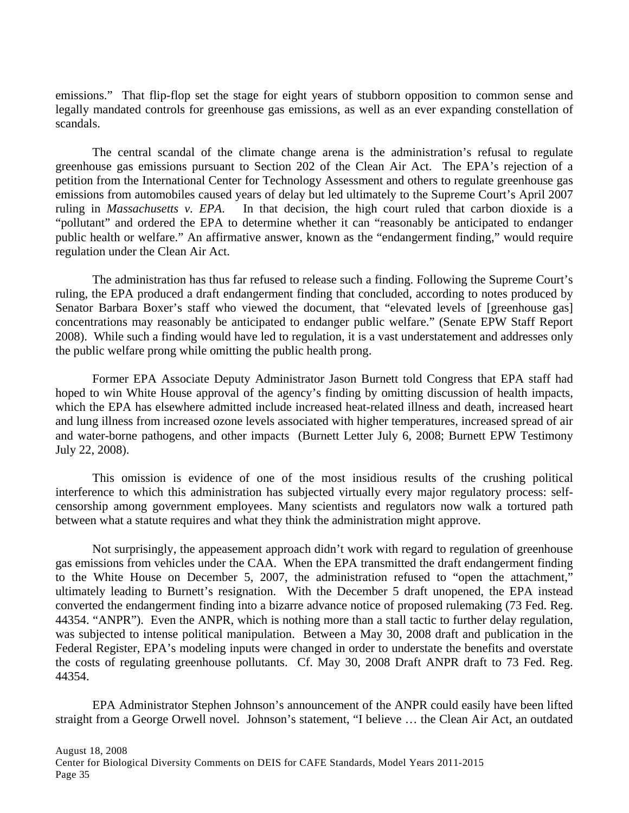emissions." That flip-flop set the stage for eight years of stubborn opposition to common sense and legally mandated controls for greenhouse gas emissions, as well as an ever expanding constellation of scandals.

The central scandal of the climate change arena is the administration's refusal to regulate greenhouse gas emissions pursuant to Section 202 of the Clean Air Act. The EPA's rejection of a petition from the International Center for Technology Assessment and others to regulate greenhouse gas emissions from automobiles caused years of delay but led ultimately to the Supreme Court's April 2007 ruling in *Massachusetts v. EPA*. In that decision, the high court ruled that carbon dioxide is a "pollutant" and ordered the EPA to determine whether it can "reasonably be anticipated to endanger public health or welfare." An affirmative answer, known as the "endangerment finding," would require regulation under the Clean Air Act.

The administration has thus far refused to release such a finding. Following the Supreme Court's ruling, the EPA produced a draft endangerment finding that concluded, according to notes produced by Senator Barbara Boxer's staff who viewed the document, that "elevated levels of [greenhouse gas] concentrations may reasonably be anticipated to endanger public welfare." (Senate EPW Staff Report 2008). While such a finding would have led to regulation, it is a vast understatement and addresses only the public welfare prong while omitting the public health prong.

Former EPA Associate Deputy Administrator Jason Burnett told Congress that EPA staff had hoped to win White House approval of the agency's finding by omitting discussion of health impacts, which the EPA has elsewhere admitted include increased heat-related illness and death, increased heart and lung illness from increased ozone levels associated with higher temperatures, increased spread of air and water-borne pathogens, and other impacts (Burnett Letter July 6, 2008; Burnett EPW Testimony July 22, 2008).

This omission is evidence of one of the most insidious results of the crushing political interference to which this administration has subjected virtually every major regulatory process: selfcensorship among government employees. Many scientists and regulators now walk a tortured path between what a statute requires and what they think the administration might approve.

Not surprisingly, the appeasement approach didn't work with regard to regulation of greenhouse gas emissions from vehicles under the CAA. When the EPA transmitted the draft endangerment finding to the White House on December 5, 2007, the administration refused to "open the attachment," ultimately leading to Burnett's resignation. With the December 5 draft unopened, the EPA instead converted the endangerment finding into a bizarre advance notice of proposed rulemaking (73 Fed. Reg. 44354. "ANPR"). Even the ANPR, which is nothing more than a stall tactic to further delay regulation, was subjected to intense political manipulation. Between a May 30, 2008 draft and publication in the Federal Register, EPA's modeling inputs were changed in order to understate the benefits and overstate the costs of regulating greenhouse pollutants. Cf. May 30, 2008 Draft ANPR draft to 73 Fed. Reg. 44354.

EPA Administrator Stephen Johnson's announcement of the ANPR could easily have been lifted straight from a George Orwell novel. Johnson's statement, "I believe … the Clean Air Act, an outdated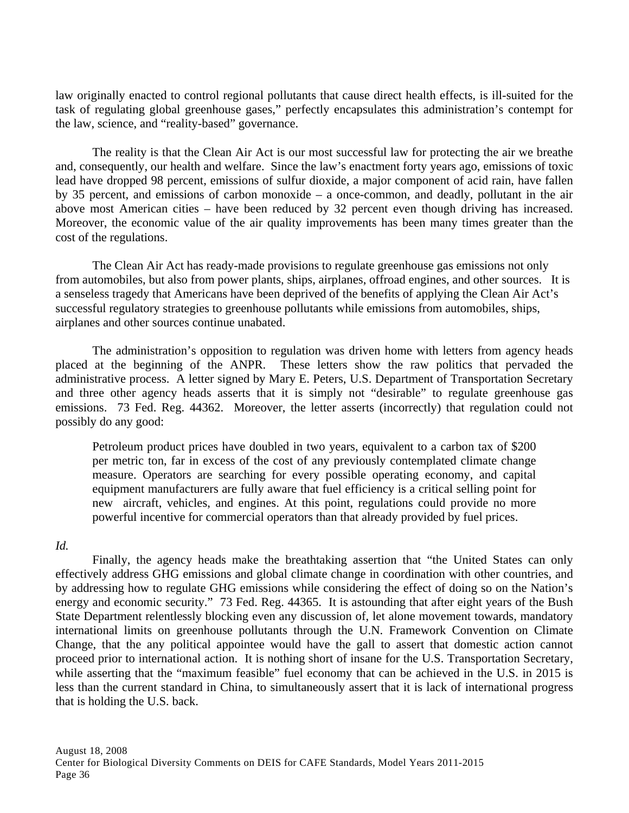law originally enacted to control regional pollutants that cause direct health effects, is ill-suited for the task of regulating global greenhouse gases," perfectly encapsulates this administration's contempt for the law, science, and "reality-based" governance.

The reality is that the Clean Air Act is our most successful law for protecting the air we breathe and, consequently, our health and welfare. Since the law's enactment forty years ago, emissions of toxic lead have dropped 98 percent, emissions of sulfur dioxide, a major component of acid rain, have fallen by 35 percent, and emissions of carbon monoxide – a once-common, and deadly, pollutant in the air above most American cities – have been reduced by 32 percent even though driving has increased. Moreover, the economic value of the air quality improvements has been many times greater than the cost of the regulations.

The Clean Air Act has ready-made provisions to regulate greenhouse gas emissions not only from automobiles, but also from power plants, ships, airplanes, offroad engines, and other sources. It is a senseless tragedy that Americans have been deprived of the benefits of applying the Clean Air Act's successful regulatory strategies to greenhouse pollutants while emissions from automobiles, ships, airplanes and other sources continue unabated.

The administration's opposition to regulation was driven home with letters from agency heads placed at the beginning of the ANPR. These letters show the raw politics that pervaded the administrative process. A letter signed by Mary E. Peters, U.S. Department of Transportation Secretary and three other agency heads asserts that it is simply not "desirable" to regulate greenhouse gas emissions. 73 Fed. Reg. 44362. Moreover, the letter asserts (incorrectly) that regulation could not possibly do any good:

Petroleum product prices have doubled in two years, equivalent to a carbon tax of \$200 per metric ton, far in excess of the cost of any previously contemplated climate change measure. Operators are searching for every possible operating economy, and capital equipment manufacturers are fully aware that fuel efficiency is a critical selling point for new aircraft, vehicles, and engines. At this point, regulations could provide no more powerful incentive for commercial operators than that already provided by fuel prices.

#### *Id.*

Finally, the agency heads make the breathtaking assertion that "the United States can only effectively address GHG emissions and global climate change in coordination with other countries, and by addressing how to regulate GHG emissions while considering the effect of doing so on the Nation's energy and economic security." 73 Fed. Reg. 44365. It is astounding that after eight years of the Bush State Department relentlessly blocking even any discussion of, let alone movement towards, mandatory international limits on greenhouse pollutants through the U.N. Framework Convention on Climate Change, that the any political appointee would have the gall to assert that domestic action cannot proceed prior to international action. It is nothing short of insane for the U.S. Transportation Secretary, while asserting that the "maximum feasible" fuel economy that can be achieved in the U.S. in 2015 is less than the current standard in China, to simultaneously assert that it is lack of international progress that is holding the U.S. back.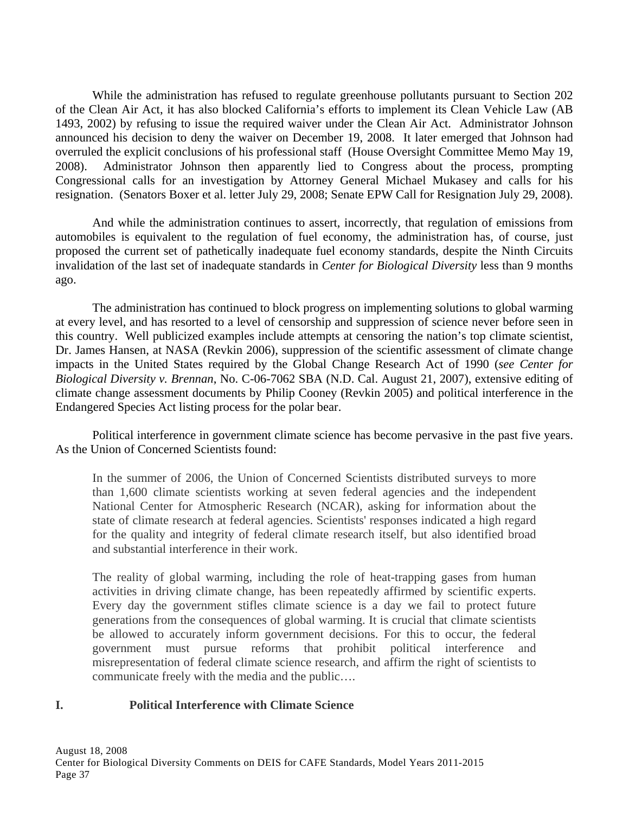While the administration has refused to regulate greenhouse pollutants pursuant to Section 202 of the Clean Air Act, it has also blocked California's efforts to implement its Clean Vehicle Law (AB 1493, 2002) by refusing to issue the required waiver under the Clean Air Act. Administrator Johnson announced his decision to deny the waiver on December 19, 2008. It later emerged that Johnson had overruled the explicit conclusions of his professional staff (House Oversight Committee Memo May 19, 2008). Administrator Johnson then apparently lied to Congress about the process, prompting Congressional calls for an investigation by Attorney General Michael Mukasey and calls for his resignation. (Senators Boxer et al. letter July 29, 2008; Senate EPW Call for Resignation July 29, 2008).

 And while the administration continues to assert, incorrectly, that regulation of emissions from automobiles is equivalent to the regulation of fuel economy, the administration has, of course, just proposed the current set of pathetically inadequate fuel economy standards, despite the Ninth Circuits invalidation of the last set of inadequate standards in *Center for Biological Diversity* less than 9 months ago.

 The administration has continued to block progress on implementing solutions to global warming at every level, and has resorted to a level of censorship and suppression of science never before seen in this country. Well publicized examples include attempts at censoring the nation's top climate scientist, Dr. James Hansen, at NASA (Revkin 2006), suppression of the scientific assessment of climate change impacts in the United States required by the Global Change Research Act of 1990 (*see Center for Biological Diversity v. Brennan*, No. C-06-7062 SBA (N.D. Cal. August 21, 2007), extensive editing of climate change assessment documents by Philip Cooney (Revkin 2005) and political interference in the Endangered Species Act listing process for the polar bear.

 Political interference in government climate science has become pervasive in the past five years. As the Union of Concerned Scientists found:

In the summer of 2006, the Union of Concerned Scientists distributed surveys to more than 1,600 climate scientists working at seven federal agencies and the independent National Center for Atmospheric Research (NCAR), asking for information about the state of climate research at federal agencies. Scientists' responses indicated a high regard for the quality and integrity of federal climate research itself, but also identified broad and substantial interference in their work.

The reality of global warming, including the role of heat-trapping gases from human activities in driving climate change, has been repeatedly affirmed by scientific experts. Every day the government stifles climate science is a day we fail to protect future generations from the consequences of global warming. It is crucial that climate scientists be allowed to accurately inform government decisions. For this to occur, the federal government must pursue reforms that prohibit political interference and misrepresentation of federal climate science research, and affirm the right of scientists to communicate freely with the media and the public….

### **I. Political Interference with Climate Science**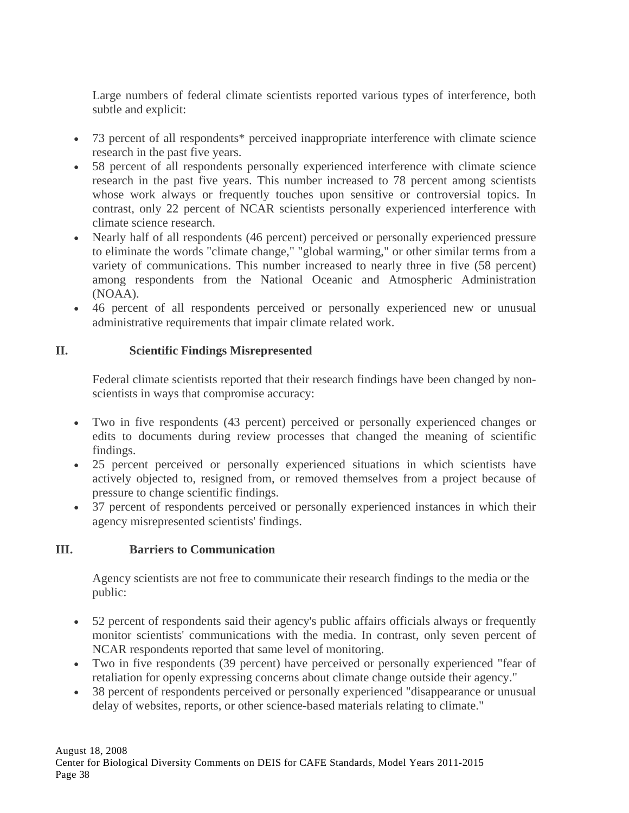Large numbers of federal climate scientists reported various types of interference, both subtle and explicit:

- 73 percent of all respondents\* perceived inappropriate interference with climate science research in the past five years.
- 58 percent of all respondents personally experienced interference with climate science research in the past five years. This number increased to 78 percent among scientists whose work always or frequently touches upon sensitive or controversial topics. In contrast, only 22 percent of NCAR scientists personally experienced interference with climate science research.
- Nearly half of all respondents (46 percent) perceived or personally experienced pressure to eliminate the words "climate change," "global warming," or other similar terms from a variety of communications. This number increased to nearly three in five (58 percent) among respondents from the National Oceanic and Atmospheric Administration (NOAA).
- 46 percent of all respondents perceived or personally experienced new or unusual administrative requirements that impair climate related work.

# **II. Scientific Findings Misrepresented**

Federal climate scientists reported that their research findings have been changed by nonscientists in ways that compromise accuracy:

- Two in five respondents (43 percent) perceived or personally experienced changes or edits to documents during review processes that changed the meaning of scientific findings.
- 25 percent perceived or personally experienced situations in which scientists have actively objected to, resigned from, or removed themselves from a project because of pressure to change scientific findings.
- 37 percent of respondents perceived or personally experienced instances in which their agency misrepresented scientists' findings.

# **III. Barriers to Communication**

Agency scientists are not free to communicate their research findings to the media or the public:

- 52 percent of respondents said their agency's public affairs officials always or frequently monitor scientists' communications with the media. In contrast, only seven percent of NCAR respondents reported that same level of monitoring.
- Two in five respondents (39 percent) have perceived or personally experienced "fear of retaliation for openly expressing concerns about climate change outside their agency."
- 38 percent of respondents perceived or personally experienced "disappearance or unusual delay of websites, reports, or other science-based materials relating to climate."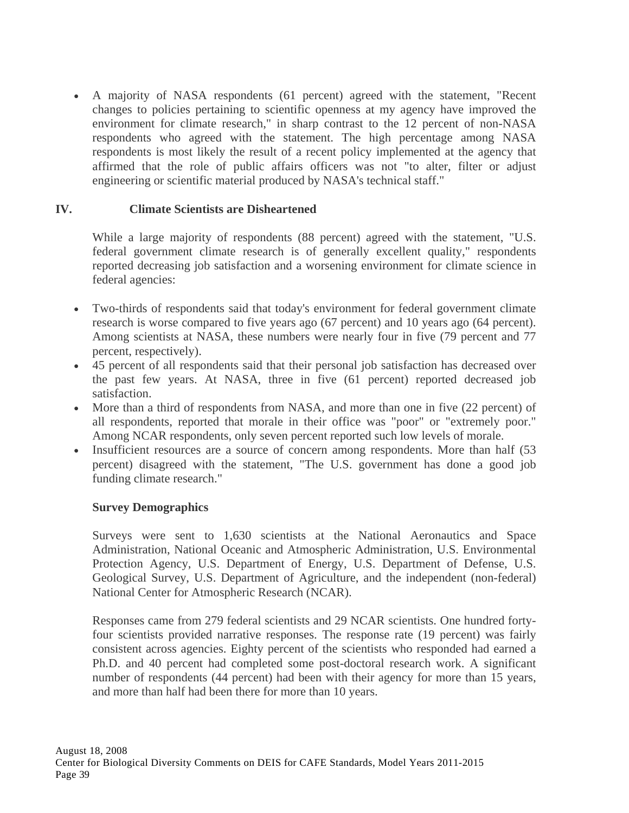• A majority of NASA respondents (61 percent) agreed with the statement, "Recent changes to policies pertaining to scientific openness at my agency have improved the environment for climate research," in sharp contrast to the 12 percent of non-NASA respondents who agreed with the statement. The high percentage among NASA respondents is most likely the result of a recent policy implemented at the agency that affirmed that the role of public affairs officers was not "to alter, filter or adjust engineering or scientific material produced by NASA's technical staff."

## **IV. Climate Scientists are Disheartened**

While a large majority of respondents (88 percent) agreed with the statement, "U.S. federal government climate research is of generally excellent quality," respondents reported decreasing job satisfaction and a worsening environment for climate science in federal agencies:

- Two-thirds of respondents said that today's environment for federal government climate research is worse compared to five years ago (67 percent) and 10 years ago (64 percent). Among scientists at NASA, these numbers were nearly four in five (79 percent and 77 percent, respectively).
- 45 percent of all respondents said that their personal job satisfaction has decreased over the past few years. At NASA, three in five (61 percent) reported decreased job satisfaction.
- More than a third of respondents from NASA, and more than one in five (22 percent) of all respondents, reported that morale in their office was "poor" or "extremely poor." Among NCAR respondents, only seven percent reported such low levels of morale.
- Insufficient resources are a source of concern among respondents. More than half (53 percent) disagreed with the statement, "The U.S. government has done a good job funding climate research."

### **Survey Demographics**

Surveys were sent to 1,630 scientists at the National Aeronautics and Space Administration, National Oceanic and Atmospheric Administration, U.S. Environmental Protection Agency, U.S. Department of Energy, U.S. Department of Defense, U.S. Geological Survey, U.S. Department of Agriculture, and the independent (non-federal) National Center for Atmospheric Research (NCAR).

Responses came from 279 federal scientists and 29 NCAR scientists. One hundred fortyfour scientists provided narrative responses. The response rate (19 percent) was fairly consistent across agencies. Eighty percent of the scientists who responded had earned a Ph.D. and 40 percent had completed some post-doctoral research work. A significant number of respondents (44 percent) had been with their agency for more than 15 years, and more than half had been there for more than 10 years.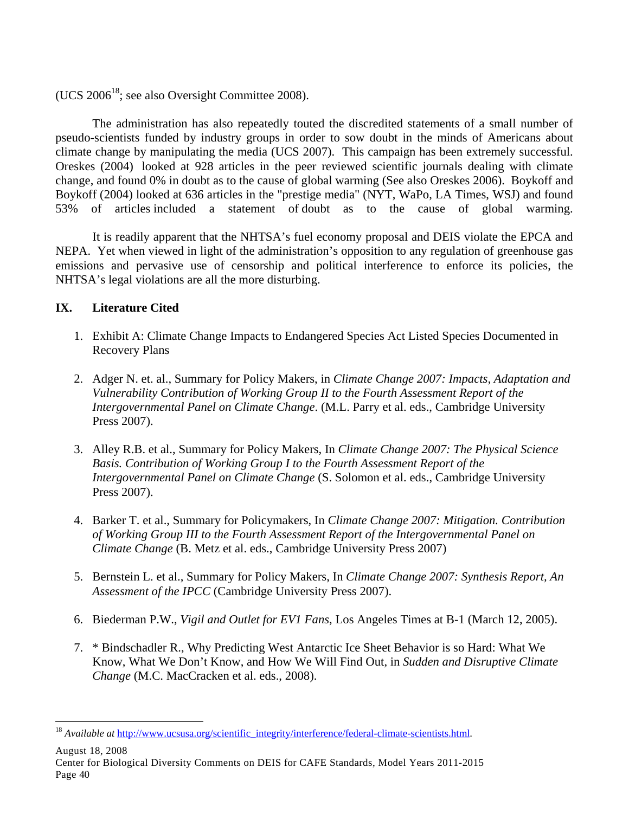(UCS  $2006^{18}$ ; see also Oversight Committee 2008).

The administration has also repeatedly touted the discredited statements of a small number of pseudo-scientists funded by industry groups in order to sow doubt in the minds of Americans about climate change by manipulating the media (UCS 2007). This campaign has been extremely successful. Oreskes (2004) looked at 928 articles in the peer reviewed scientific journals dealing with climate change, and found 0% in doubt as to the cause of global warming (See also Oreskes 2006). Boykoff and Boykoff (2004) looked at 636 articles in the "prestige media" (NYT, WaPo, LA Times, WSJ) and found 53% of articles included a statement of doubt as to the cause of global warming.

 It is readily apparent that the NHTSA's fuel economy proposal and DEIS violate the EPCA and NEPA. Yet when viewed in light of the administration's opposition to any regulation of greenhouse gas emissions and pervasive use of censorship and political interference to enforce its policies, the NHTSA's legal violations are all the more disturbing.

## **IX. Literature Cited**

- 1. Exhibit A: Climate Change Impacts to Endangered Species Act Listed Species Documented in Recovery Plans
- 2. Adger N. et. al., Summary for Policy Makers, in *Climate Change 2007: Impacts, Adaptation and Vulnerability Contribution of Working Group II to the Fourth Assessment Report of the Intergovernmental Panel on Climate Change*. (M.L. Parry et al. eds., Cambridge University Press 2007).
- 3. Alley R.B. et al., Summary for Policy Makers, In *Climate Change 2007: The Physical Science Basis. Contribution of Working Group I to the Fourth Assessment Report of the Intergovernmental Panel on Climate Change* (S. Solomon et al. eds., Cambridge University Press 2007).
- 4. Barker T. et al., Summary for Policymakers, In *Climate Change 2007: Mitigation. Contribution of Working Group III to the Fourth Assessment Report of the Intergovernmental Panel on Climate Change* (B. Metz et al. eds., Cambridge University Press 2007)
- 5. Bernstein L. et al., Summary for Policy Makers, In *Climate Change 2007: Synthesis Report, An Assessment of the IPCC* (Cambridge University Press 2007).
- 6. Biederman P.W., *Vigil and Outlet for EV1 Fans*, Los Angeles Times at B-1 (March 12, 2005).
- 7. \* Bindschadler R., Why Predicting West Antarctic Ice Sheet Behavior is so Hard: What We Know, What We Don't Know, and How We Will Find Out, in *Sudden and Disruptive Climate Change* (M.C. MacCracken et al. eds., 2008).

August 18, 2008

<u>.</u>

<sup>&</sup>lt;sup>18</sup> Available at http://www.ucsusa.org/scientific\_integrity/interference/federal-climate-scientists.html.

Center for Biological Diversity Comments on DEIS for CAFE Standards, Model Years 2011-2015 Page 40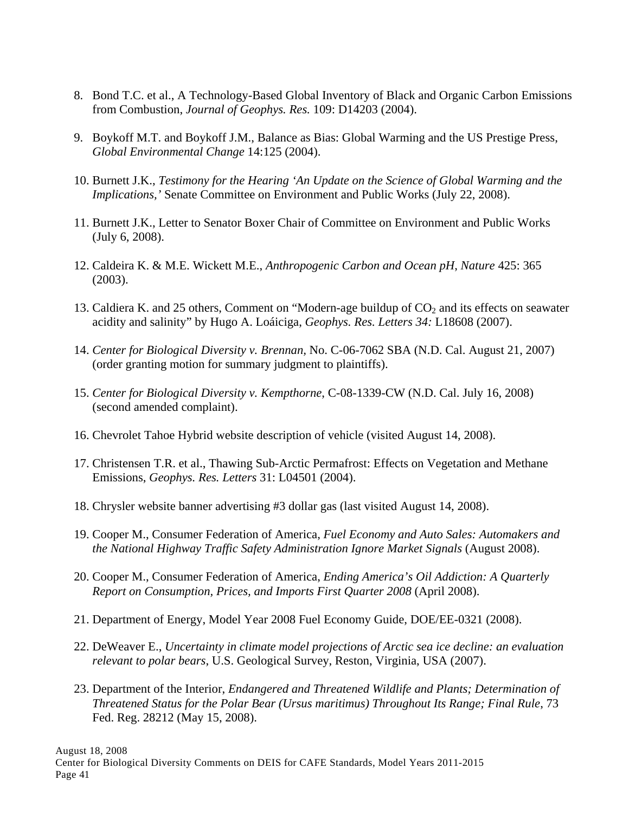- 8. Bond T.C. et al., A Technology-Based Global Inventory of Black and Organic Carbon Emissions from Combustion, *Journal of Geophys. Res.* 109: D14203 (2004).
- 9. Boykoff M.T. and Boykoff J.M., Balance as Bias: Global Warming and the US Prestige Press, *Global Environmental Change* 14:125 (2004).
- 10. Burnett J.K., *Testimony for the Hearing 'An Update on the Science of Global Warming and the Implications,'* Senate Committee on Environment and Public Works (July 22, 2008).
- 11. Burnett J.K., Letter to Senator Boxer Chair of Committee on Environment and Public Works (July 6, 2008).
- 12. Caldeira K. & M.E. Wickett M.E., *Anthropogenic Carbon and Ocean pH*, *Nature* 425: 365 (2003).
- 13. Caldiera K. and 25 others, Comment on "Modern-age buildup of  $CO<sub>2</sub>$  and its effects on seawater acidity and salinity" by Hugo A. Loáiciga, *Geophys. Res. Letters 34:* L18608 (2007).
- 14. *Center for Biological Diversity v. Brennan,* No. C-06-7062 SBA (N.D. Cal. August 21, 2007) (order granting motion for summary judgment to plaintiffs).
- 15. *Center for Biological Diversity v. Kempthorne*, C-08-1339-CW (N.D. Cal. July 16, 2008) (second amended complaint).
- 16. Chevrolet Tahoe Hybrid website description of vehicle (visited August 14, 2008).
- 17. Christensen T.R. et al., Thawing Sub-Arctic Permafrost: Effects on Vegetation and Methane Emissions, *Geophys. Res. Letters* 31: L04501 (2004).
- 18. Chrysler website banner advertising #3 dollar gas (last visited August 14, 2008).
- 19. Cooper M., Consumer Federation of America, *Fuel Economy and Auto Sales: Automakers and the National Highway Traffic Safety Administration Ignore Market Signals* (August 2008).
- 20. Cooper M., Consumer Federation of America, *Ending America's Oil Addiction: A Quarterly Report on Consumption, Prices, and Imports First Quarter 2008* (April 2008).
- 21. Department of Energy, Model Year 2008 Fuel Economy Guide, DOE/EE-0321 (2008).
- 22. DeWeaver E., *Uncertainty in climate model projections of Arctic sea ice decline: an evaluation relevant to polar bears*, U.S. Geological Survey, Reston, Virginia, USA (2007).
- 23. Department of the Interior, *Endangered and Threatened Wildlife and Plants; Determination of Threatened Status for the Polar Bear (Ursus maritimus) Throughout Its Range; Final Rule*, 73 Fed. Reg. 28212 (May 15, 2008).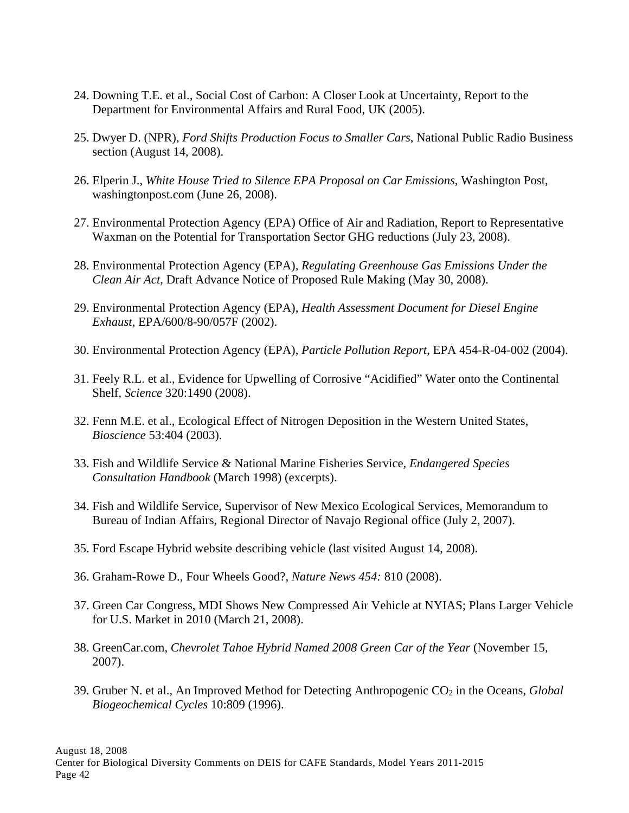- 24. Downing T.E. et al., Social Cost of Carbon: A Closer Look at Uncertainty, Report to the Department for Environmental Affairs and Rural Food, UK (2005).
- 25. Dwyer D. (NPR), *Ford Shifts Production Focus to Smaller Cars*, National Public Radio Business section (August 14, 2008).
- 26. Elperin J., *White House Tried to Silence EPA Proposal on Car Emissions*, Washington Post, washingtonpost.com (June 26, 2008).
- 27. Environmental Protection Agency (EPA) Office of Air and Radiation, Report to Representative Waxman on the Potential for Transportation Sector GHG reductions (July 23, 2008).
- 28. Environmental Protection Agency (EPA), *Regulating Greenhouse Gas Emissions Under the Clean Air Act*, Draft Advance Notice of Proposed Rule Making (May 30, 2008).
- 29. Environmental Protection Agency (EPA), *Health Assessment Document for Diesel Engine Exhaust*, EPA/600/8-90/057F (2002).
- 30. Environmental Protection Agency (EPA), *Particle Pollution Report*, EPA 454-R-04-002 (2004).
- 31. Feely R.L. et al., Evidence for Upwelling of Corrosive "Acidified" Water onto the Continental Shelf, *Science* 320:1490 (2008).
- 32. Fenn M.E. et al., Ecological Effect of Nitrogen Deposition in the Western United States, *Bioscience* 53:404 (2003).
- 33. Fish and Wildlife Service & National Marine Fisheries Service, *Endangered Species Consultation Handbook* (March 1998) (excerpts).
- 34. Fish and Wildlife Service, Supervisor of New Mexico Ecological Services, Memorandum to Bureau of Indian Affairs, Regional Director of Navajo Regional office (July 2, 2007).
- 35. Ford Escape Hybrid website describing vehicle (last visited August 14, 2008).
- 36. Graham-Rowe D., Four Wheels Good?, *Nature News 454:* 810 (2008).
- 37. Green Car Congress, MDI Shows New Compressed Air Vehicle at NYIAS; Plans Larger Vehicle for U.S. Market in 2010 (March 21, 2008).
- 38. GreenCar.com, *Chevrolet Tahoe Hybrid Named 2008 Green Car of the Year* (November 15, 2007).
- 39. Gruber N. et al., An Improved Method for Detecting Anthropogenic CO<sub>2</sub> in the Oceans, *Global Biogeochemical Cycles* 10:809 (1996).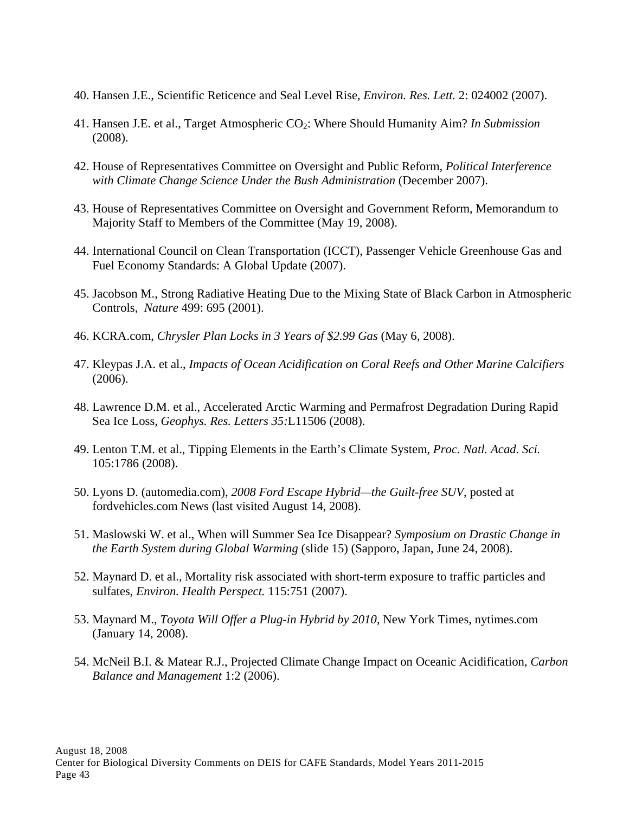- 40. Hansen J.E., Scientific Reticence and Seal Level Rise, *Environ. Res. Lett.* 2: 024002 (2007).
- 41. Hansen J.E. et al., Target Atmospheric CO2: Where Should Humanity Aim? *In Submission* (2008).
- 42. House of Representatives Committee on Oversight and Public Reform, *Political Interference with Climate Change Science Under the Bush Administration* (December 2007).
- 43. House of Representatives Committee on Oversight and Government Reform, Memorandum to Majority Staff to Members of the Committee (May 19, 2008).
- 44. International Council on Clean Transportation (ICCT), Passenger Vehicle Greenhouse Gas and Fuel Economy Standards: A Global Update (2007).
- 45. Jacobson M., Strong Radiative Heating Due to the Mixing State of Black Carbon in Atmospheric Controls, *Nature* 499: 695 (2001).
- 46. KCRA.com, *Chrysler Plan Locks in 3 Years of \$2.99 Gas* (May 6, 2008).
- 47. Kleypas J.A. et al., *Impacts of Ocean Acidification on Coral Reefs and Other Marine Calcifiers* (2006).
- 48. Lawrence D.M. et al., Accelerated Arctic Warming and Permafrost Degradation During Rapid Sea Ice Loss, *Geophys. Res. Letters 35:*L11506 (2008).
- 49. Lenton T.M. et al., Tipping Elements in the Earth's Climate System, *Proc. Natl. Acad. Sci.* 105:1786 (2008).
- 50. Lyons D. (automedia.com), *2008 Ford Escape Hybrid—the Guilt-free SUV*, posted at fordvehicles.com News (last visited August 14, 2008).
- 51. Maslowski W. et al., When will Summer Sea Ice Disappear? *Symposium on Drastic Change in the Earth System during Global Warming* (slide 15) (Sapporo, Japan, June 24, 2008).
- 52. Maynard D. et al., Mortality risk associated with short-term exposure to traffic particles and sulfates, *Environ. Health Perspect.* 115:751 (2007).
- 53. Maynard M., *Toyota Will Offer a Plug-in Hybrid by 2010*, New York Times, nytimes.com (January 14, 2008).
- 54. McNeil B.I. & Matear R.J., Projected Climate Change Impact on Oceanic Acidification, *Carbon Balance and Management* 1:2 (2006).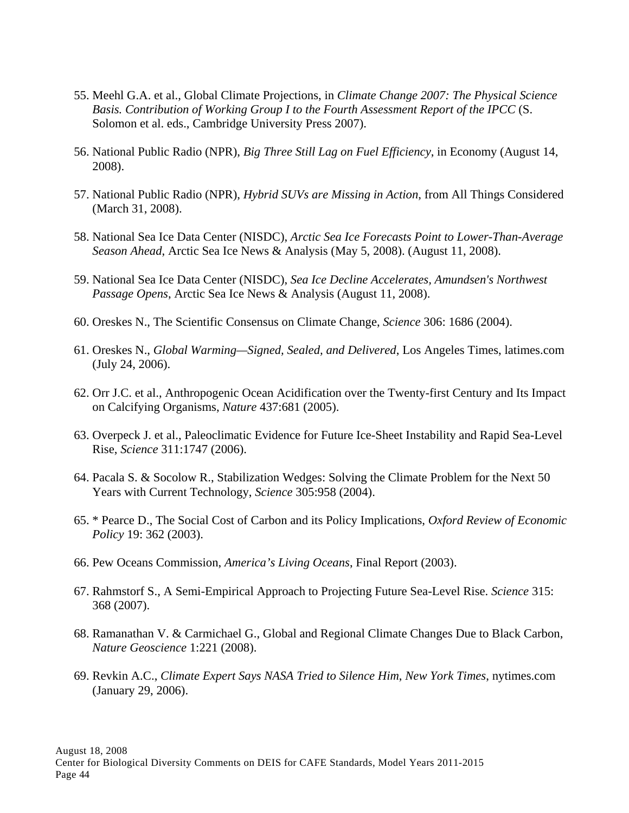- 55. Meehl G.A. et al., Global Climate Projections, in *Climate Change 2007: The Physical Science Basis. Contribution of Working Group I to the Fourth Assessment Report of the IPCC* (S. Solomon et al. eds., Cambridge University Press 2007).
- 56. National Public Radio (NPR), *Big Three Still Lag on Fuel Efficiency*, in Economy (August 14, 2008).
- 57. National Public Radio (NPR), *Hybrid SUVs are Missing in Action*, from All Things Considered (March 31, 2008).
- 58. National Sea Ice Data Center (NISDC), *Arctic Sea Ice Forecasts Point to Lower-Than-Average Season Ahead*, Arctic Sea Ice News & Analysis (May 5, 2008). (August 11, 2008).
- 59. National Sea Ice Data Center (NISDC), *Sea Ice Decline Accelerates, Amundsen's Northwest Passage Opens*, Arctic Sea Ice News & Analysis (August 11, 2008).
- 60. Oreskes N., The Scientific Consensus on Climate Change, *Science* 306: 1686 (2004).
- 61. Oreskes N., *Global Warming—Signed, Sealed, and Delivered*, Los Angeles Times, latimes.com (July 24, 2006).
- 62. Orr J.C. et al., Anthropogenic Ocean Acidification over the Twenty-first Century and Its Impact on Calcifying Organisms, *Nature* 437:681 (2005).
- 63. Overpeck J. et al., Paleoclimatic Evidence for Future Ice-Sheet Instability and Rapid Sea-Level Rise, *Science* 311:1747 (2006).
- 64. Pacala S. & Socolow R., Stabilization Wedges: Solving the Climate Problem for the Next 50 Years with Current Technology, *Science* 305:958 (2004).
- 65. \* Pearce D., The Social Cost of Carbon and its Policy Implications, *Oxford Review of Economic Policy* 19: 362 (2003).
- 66. Pew Oceans Commission, *America's Living Oceans*, Final Report (2003).
- 67. Rahmstorf S., A Semi-Empirical Approach to Projecting Future Sea-Level Rise. *Science* 315: 368 (2007).
- 68. Ramanathan V. & Carmichael G., Global and Regional Climate Changes Due to Black Carbon, *Nature Geoscience* 1:221 (2008).
- 69. Revkin A.C., *Climate Expert Says NASA Tried to Silence Him*, *New York Times*, nytimes.com (January 29, 2006).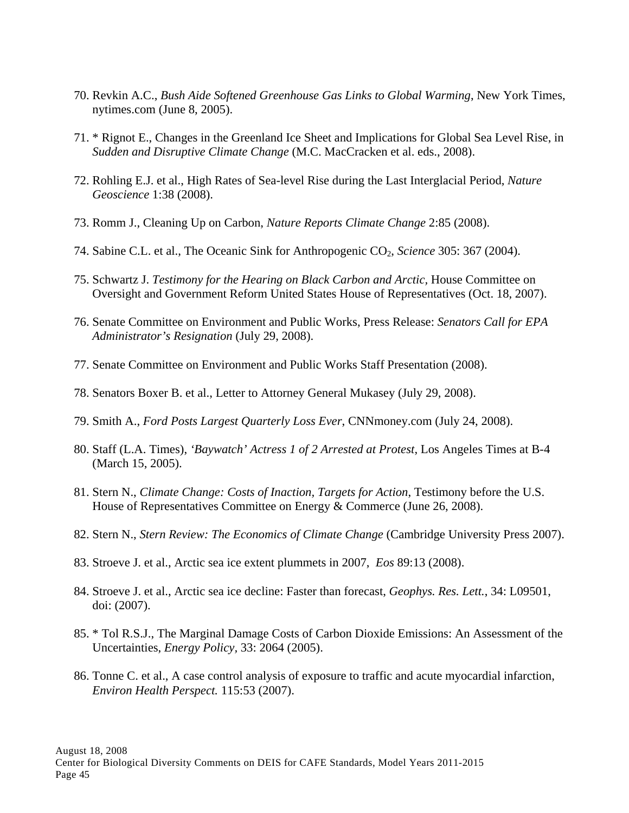- 70. Revkin A.C., *Bush Aide Softened Greenhouse Gas Links to Global Warming*, New York Times, nytimes.com (June 8, 2005).
- 71. \* Rignot E., Changes in the Greenland Ice Sheet and Implications for Global Sea Level Rise, in *Sudden and Disruptive Climate Change* (M.C. MacCracken et al. eds., 2008).
- 72. Rohling E.J. et al., High Rates of Sea-level Rise during the Last Interglacial Period, *Nature Geoscience* 1:38 (2008).
- 73. Romm J., Cleaning Up on Carbon, *Nature Reports Climate Change* 2:85 (2008).
- 74. Sabine C.L. et al., The Oceanic Sink for Anthropogenic CO2, *Science* 305: 367 (2004).
- 75. Schwartz J. *Testimony for the Hearing on Black Carbon and Arctic,* House Committee on Oversight and Government Reform United States House of Representatives (Oct. 18, 2007).
- 76. Senate Committee on Environment and Public Works, Press Release: *Senators Call for EPA Administrator's Resignation* (July 29, 2008).
- 77. Senate Committee on Environment and Public Works Staff Presentation (2008).
- 78. Senators Boxer B. et al., Letter to Attorney General Mukasey (July 29, 2008).
- 79. Smith A., *Ford Posts Largest Quarterly Loss Ever*, CNNmoney.com (July 24, 2008).
- 80. Staff (L.A. Times), *'Baywatch' Actress 1 of 2 Arrested at Protest*, Los Angeles Times at B-4 (March 15, 2005).
- 81. Stern N., *Climate Change: Costs of Inaction, Targets for Action*, Testimony before the U.S. House of Representatives Committee on Energy & Commerce (June 26, 2008).
- 82. Stern N., *Stern Review: The Economics of Climate Change* (Cambridge University Press 2007).
- 83. Stroeve J. et al., Arctic sea ice extent plummets in 2007, *Eos* 89:13 (2008).
- 84. Stroeve J. et al., Arctic sea ice decline: Faster than forecast, *Geophys. Res. Lett.*, 34: L09501, doi: (2007).
- 85. \* Tol R.S.J., The Marginal Damage Costs of Carbon Dioxide Emissions: An Assessment of the Uncertainties, *Energy Policy,* 33: 2064 (2005).
- 86. Tonne C. et al., A case control analysis of exposure to traffic and acute myocardial infarction, *Environ Health Perspect.* 115:53 (2007).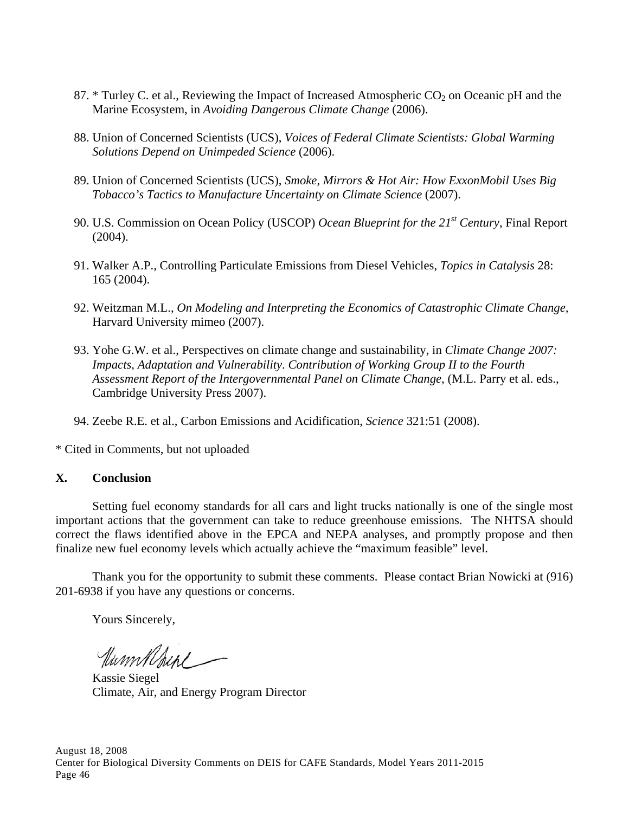- 87.  $*$  Turley C. et al., Reviewing the Impact of Increased Atmospheric  $CO<sub>2</sub>$  on Oceanic pH and the Marine Ecosystem, in *Avoiding Dangerous Climate Change* (2006).
- 88. Union of Concerned Scientists (UCS), *Voices of Federal Climate Scientists: Global Warming Solutions Depend on Unimpeded Science* (2006).
- 89. Union of Concerned Scientists (UCS), *Smoke, Mirrors & Hot Air: How ExxonMobil Uses Big Tobacco's Tactics to Manufacture Uncertainty on Climate Science* (2007).
- 90. U.S. Commission on Ocean Policy (USCOP) *Ocean Blueprint for the 21st Century*, Final Report (2004).
- 91. Walker A.P., Controlling Particulate Emissions from Diesel Vehicles, *Topics in Catalysis* 28: 165 (2004).
- 92. Weitzman M.L., *On Modeling and Interpreting the Economics of Catastrophic Climate Change,* Harvard University mimeo (2007).
- 93. Yohe G.W. et al., Perspectives on climate change and sustainability, in *Climate Change 2007: Impacts, Adaptation and Vulnerability*. *Contribution of Working Group II to the Fourth Assessment Report of the Intergovernmental Panel on Climate Change*, (M.L. Parry et al. eds., Cambridge University Press 2007).
- 94. Zeebe R.E. et al., Carbon Emissions and Acidification, *Science* 321:51 (2008).

\* Cited in Comments, but not uploaded

### **X. Conclusion**

 Setting fuel economy standards for all cars and light trucks nationally is one of the single most important actions that the government can take to reduce greenhouse emissions. The NHTSA should correct the flaws identified above in the EPCA and NEPA analyses, and promptly propose and then finalize new fuel economy levels which actually achieve the "maximum feasible" level.

 Thank you for the opportunity to submit these comments. Please contact Brian Nowicki at (916) 201-6938 if you have any questions or concerns.

Yours Sincerely,

UnmMrul

Kassie Siegel Climate, Air, and Energy Program Director